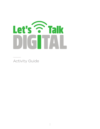

Activity Guide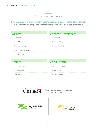# Acknowledgements

"Let's Talk Digital" is a non-partisan initiative aiming to engage youth (12-25 years old) in a series of workshops and engagement opportunities on digital citizenship.

| <b>Writers</b>        | <b>Content Developers</b> |
|-----------------------|---------------------------|
| Yvonne Su             | Yvonne Su                 |
| Mike Morden           | Anthony Morgan            |
| Tyler Valiquette      | Natasha Morris            |
| Adelina Petit-Vouriot |                           |
| Paul Thomas           |                           |
|                       |                           |
| Editors               | Consultants               |
| Kendall Anderson      | Elizabeth Dubois          |
| Mike Morden           | Katie Gibbs               |
| Callista Ryan         | Allison Meads             |



*in part by the Government of Canada.*



Boys & Girls Clubs<br>of Canada

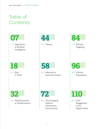# Table of **Contents**









5 // Attention & Emotions Online







8 // Political Polarization



6 // The Changing Media & Information Environment



9 // Civic Engagement in the Digital World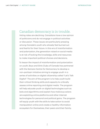# Canadian democracy is in trouble.

Voting rates are declining. Canadians have a low opinion of politicians and do not engage in political activities or discussion. These issues are particularly pressing among Canada's youth who already feel burned out and fearful for their future. In this era of misinformation and polarization, the generation raised on social media is at risk of lacking the knowledge, skills and resources to make important political choices and decisions.

To lesson the impact of misinformation and polarization on youth, Boys and Girls Clubs of Canada has partnered with the Samara Centre for Democracy to develop a non-partisan initiative aiming to engage youth in a series of activities on digital citizenship called "Let's Talk Digital". The aim of the program is to help youth build their critical thinking skills and capacity to critically assess online reporting and digital media. The program will help educate youth on digital technologies such as bots and algorithms and explain how malicious actors are exploiting online platforms and other Internet technologies for personal and political gains. The program will equip youth with the skills to take action to avoid manipulation online and create a healthy information ecosystem for themselves, their peers and their family.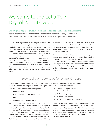# Welcome to the Let's Talk Digital Activity Guide

The program hopes to empower a connected generation raised on social media to better understand the mechanisms of digital citizenship so they can educate their peers and their families and contribute to a stronger democracy for all.

The Let's Talk Digital Activity Guide provides you with research briefs on each topic and detailed lesson plans needed to run a Let's Talk Digital program at your Club. The Samara Centre research team and expert contractors on digital, media and civic literacy wrote the research briefs. The nine topics we chose to focus on in this program were selected using information gathered from youth participating in the Boys and Girls Clubs of Canada's National Youth Forum in Montreal as well as piloting at the St. Alban's Boys and Girls Club and the Eastview Boys and Girls Club in Ontario. This means the material covered in this program was informed by BGCC youth to ensure its relevance to youth.

In addition, the lesson plans and activities in this program are designed to facilitate learning in real and personally relevant ways. At the same time, they'll help youth understand and develop the skills needed to be good digital citizens.

At its core, Let's Talk Digital is about helping young people gain the skills and knowledge they need to navigate our increasingly complex digital, social and political systems. The central objective of Let's Talk Digital is to lessen the impact of misinformation, polarization and disengagement, build resilience to online manipulation, and create a healthy information ecosystem.

# Essential Competencies for Digital Citizens

To that end, the Activity Guide is designed around nine essential competencies that are needed to achieve critical thinking when it comes to digital citizenship. The nine modules are:

- 1) Algorithms and Artificial Intelligence
- 2) Bots and Trolls
- 3 ) Disinformation and Misinformation
- 4) Privacy
- 5 ) Attention and Emotions Online

For each of the nine topics included in the Activity Guide, there are lesson plans with three or four group activities that aim to develop specific skills related to that topic. Different skill sets will be developed in each of the nine sections, but you will notice that several themes pervade the entire guide. These include some of the skills and processes that form the core of Let's Talk Digital, the most important of which is critical thinking.

- 6 ) The Changing Media and Information Environment
- 7 ) Political Targeting
- 8 ) Political Polarization
- 9 ) Civic Engagement in a Digital World

Critical thinking is the process of analyzing and reanalyzing facts and information to reach an answer or conclusion. To practice critical thinking one needs to practice 5 Cs! Developed by Science Everywhere, a science education organization, the 5 Cs they advocate for us to practice are: Curiosity, Collaboration, Calm, Courage and Creativity.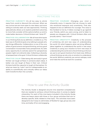## PRACTISING THE 5CS

PRACTICE CURIOSITY! It's all too easy to shrink away from, avoid or discount the unknown. When we are curious we are more open to new ideas, and more willing to actively seek out new approaches. Thinking speculatively allows us to explore potential outcomes, to more fully consider all the options before us and to make better decisions. Critical thinkers ask "what if?".

PRACTICE COLLABORATION! We all have blind spots in our thinking that are, by definition, invisible to us. The best way to find blind spots is by talking to people who see things differently. Collaboration is one of the core pillars of good science and good thinking, and any good conversation incorporates many perspectives. So, take every opportunity to actively search for perspectives people might not ordinarily take. Collecting a diversity of perspectives is the goal. Critical thinkers collaborate.

PRACTICE CALM! (Take being silly seriously) A good thinker can laugh at flaws in someone else's ideas. A better one can laugh at flaws in their own. Critical thinkers build the capacity to laugh at themselves. It's what we mean by "calm" and it's indispensable to an ability to scientifically and critically refine our ideas. Calm transforms fear into curiosity.

PRACTICE COURAGE! Changing your mind is inherently scary. It requires that we choose to walk into emotional exposure and uncertainty. That also happens to be our definition for courage. This value is the hardest to live by. It takes courage to go against your friends, admit you were wrong, and to listen to people you disagree with. Critical thinkers often and proudly admit, "I don't know!"

PRACTICE CREATIVITY! Creativity is the process of combining old and new ways of understanding the world. It's what happens when we bring different ideas together to understand the world in new ways. Creativity is using your intuition to form new ways of understanding the world and critical thinking is the tool we use to sort good intuitions from bad ones. Without critical thinking, we rely only on emotion to understand the world. Without creativity, we cannot reshape, mold and make the world we want for ourselves.

# How to use the Activity Guide

The Activity Guide is designed around nine essential competencies that are needed to achieve critical thinking when it comes to digital citizenship. For each of the nine topics included in the Activity Guide, there are lesson plans with three or four group activities that aim to develop specific skills related to that topic. The activities have been designed to be 1) easy to administer, 2) flexible for age, group size, and time, and lastly, 3) fun and engaging.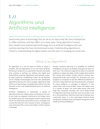# 1 // Algorithms and Artificial Intelligence

Algorithms are the basic building blocks of computer software. They are present in nearly every piece of technology that we use in our day-to-day life, from smartphones to coffee machines, and they affect us in many ways. Using algorithms, humans have created more sophisticated technology such as artificial intelligence (AI) and machine learning that have revolutionized society. Understanding algorithms is critical to understanding the digital sphere, and the way it is changing our social lives.

# What is an algorithm?

An algorithm is a list of rules to follow to solve a problem. We use algorithms in our own lives, whether following a recipe for our grandma's secret chocolate chip cookies or sorting our clothes into lights and darks before washing. Algorithms are basically a stepby-step guide for completing a task. As we develop more complex technologies we have also developed algorithms that are far more complex. Algorithms help all forms of technology complete their tasks, from the Internet to the most sophisticated forms of artificial intelligence.

Artificial intelligence is essentially a group of algorithms that can adapt, grow and evolve on its own. AI can help us program machines to do things more accurately, they also help people travel to places they would not otherwise survive (the moon!). Consider how crucial the Internet is for access to food , emergency care, and social life in very rural and/or northern places in Canada.

Finally, machine learning is a subfield of artificial intelligence. Its goal is to enable computers to learn on their own. The machine's algorithms allow it to identify patterns in observed data, build models that explain the world, and predict things without having preprogramed rules and models. For example, you may program a computer to tell the difference between a cat and a dog. Machine learning allows the computer to notice patterns or changes in patterns. It may notice that cats have smaller noses and dogs come in a variety of sizes. The more data about cats and dogs the computer receives, the more finely-tuned its algorithm becomes and the more accurate it can be in its predictions. Machine learning is already very commonly used. It is the technology behind facial recognition software, text and speech recognition, and credit card fraud detection.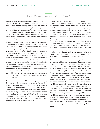# How Does It Impact Our Lives?

Algorithms and artificial intelligence impact our lives in a variety of ways. In today's advanced society, not a day passes in which the average person does not interact with this form of technology. Your phone, apps, car and even breakfast rely on the use of algorithms. For most, they are impossible to escape. Because algorithms are everywhere, it is important to understand both the positive and negative ways in which they have come to impact society.

Artificial intelligence offers some tremendous advantages. These are evident, for example, in how useful the algorithms in our phones have become to us on a day-to-day basis. Benefits are also apparent in healthcare, with artificial intelligence being used to analyze data to find early predictors of various health disorders. Artificial intelligence in healthcare may prove revolutionary, helping with the early detection of cancer, diabetes and various other health conditions, in addition to more accurately pinpointing patients' risk factors for such conditions. An MIT-led research team developed a machine-learning algorithm that can analyze 3D scans almost 1,000 times faster than what is possible today. This instant assessment can be highly useful for surgeons during operations. Ultimately, artificial intelligence can help save lives if used correctly.

Another example of artificial intelligence making lives easier is the company, skritswap, a startup that is using artificial intelligence technology to simplify complicated documents full of jargon into easy to understand plain language. This can help simplify complicated legal documents, government policies and terms and conditions. Nearly 50% of North Americans have low literacy skills so this technology can go a long way to make sure people can read important documents at their own comfort level.

However, as algorithms become more elaborate and artificial intelligence becomes more complex, there will be unforeseen consequences. In 2016, ProPublica, an independent and non-profit newsroom, highlighted a controversial case involving the use of software for the calculation of criminal sentences in Florida. Judges and lawyers would use this data to help them predict whether the defendant would commit future crimes. An analysis of the decisions made by the software found that it had some accuracy in predicting future criminals but disproportionately targeted individuals if they were black. On average, the algorithm predicted that black defendants were almost twice as likely as those of other backgrounds to commit crimes. As a result, judges using the software ended up sentencing black people to penalties greater than white people with similar backgrounds for similar crimes.

Another example involves the use of algorithms in law enforcement. Many cash-strapped police departments have begun using predictive programs to help them combat crime in their cities. The algorithms in these systems help to cut costs by showing a police department the neighbourhoods in which they "should" focus their resources and send officers. In many cases, officers are sent to poorer neighbourhoods where a high volume of petty crimes takes place (e.g. selling small amounts of drugs, panhandling). This tendency creates a feedback loop in which police patrol poorer neighbourhoods, disproportionately ticketing and arresting people in those neighborhoods, thus entering this data into the predictive program, leading the program to tell them to go back to that neighbourhood. These systems disproportionately target black, poor neighbourhoods and, as a consequence, the prison system is filled with thousands of people found guilty of victimless crimes. In this example, the algorithms and artificial intelligence involved do not intend to focus on race or ethnicity, but they inevitably cause police to do so.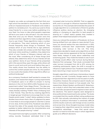## How Does It Impact Politics?

Imagine: you wake up outraged by the fact that your high school has decided to cancel prom. You decide to write an impassioned post on Facebook and create a petition to reinstate prom. You send your post to three close friends for a once-over, before publishing it to your feed. You have no idea what people's responses will be to your post or who will see it. You also have no idea that once you hit "Share", Facebook owns this content and their algorithms make a judgment about how to use it best. These algorithms make a number of calculations. They start analyzing which of your friends frequently share things on Facebook. They analyze which of your friends like to sign petitions. They also consider who simply scrolls their News Feed and never clicks anything. In addition, they determine which of your friends or followers interact with you the most. After considering all of these things (and others), they determine which of your friends will see your petition. Some of your friends will be presented with it the second they open the app, while others will have to scroll and scroll and scroll before they see it. This reality shows how Facebook has the ability to control the content people see online. So, the question is, how could a few tweaks of their algorithms affect our political landscape?

As a company, Facebook itself wanted to answer this question, and researchers began running experiments on Facebook users in an effort to answer it. During elections in the U.S. from 2010 to 2012, Facebook ran an experiment called "Voter Mega-Phone." The idea was to encourage people to spread the word that they had voted, thereby instilling "FOMO" (Fear of Missing Out) in their friends. They did this by creating algorithms in target groups' timelines to encourage them to vote. People would create "I voted" status updates to share. Studies have shown that a fear of judgment by peers is more likely to encourage people to vote then a sense of civic duty. At the same time, Facebook was able to harvest the data of the people sharing these status updates to better determine the characteristics and interests of the people sharing "I voted."

This experiment was highly successful. After comparing voting records, Facebook estimated that it had increased voter turnout by 340,000. That is a gigantic shift, and it is enough to influence important districts across the U.S. This example demonstrates the power of a single algorithm (or a combination of them) to greatly influence politics during an election. By changing adding or changing an algorithm to lead people to sharing an "I voted" status update, they created a pattern that helped lead people to the polls.

Have you noticed the evolution of Facebook, its focus having shifted from cat videos to news stories? If you have, you should realize this was intentional. In 2012, Facebook continued their experiments regarding increasing voter turnout in the U.S. This time, researchers decided to tweak some algorithms so that political news stories appeared at the top of people's news feeds, instead of posts about celebrities and screaming goats. They made the tweaks to see if such a change would affect voter turnout during Barack Obama's first campaign. Their study concluded that voter turnout increased from 64 to 67% among its unwitting participants. Again, the shift is enough to influence a tight political race. Facebook hasn't looked back, becoming a major source for news sharing.

Google's algorithms could have a tremendous impact on politics, as well. Currently, Google seems to have programmed their algorithms to be focused on profit, not politics. However, the company's search results can have a tremendous impact on how people vote. Two researchers, Robert Epstein and Ronald E. Robertson, ran a study in which they had undecided voters in the U.S. and India use special search engines to learn about the elections. The search engines were designed to show political bias toward particular parties. The study concluded that the results shifted voting preferences by 20%. But actually calculating the impact of single sources of political information is extremely difficult and the results could very well change across countries and across time. Since Google's business model relies on keeping their algorithms secret (to maintain their competitive advantage – keep that secret sauce secret) it is hard to know the ways in which algorithms guide us to different decisions.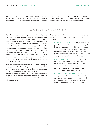As it stands, there is no substantial, publicly-known evidence to support the idea that Facebook, Google, Instagram, or any other major Western search engine or social media platform is politically motivated. The point is that these companies have the power to impact politics, and it is important to recognize this.

# What Can We Do About It?

Algorithms, machine learning, and artificial intelligence have a tremendous impact on our everyday lives. They help us make coffee, search for restaurants and even decide whom to date. As a society, we recognize how useful they are and we continue to improve upon them, using them to streamline every aspect of humanity. However, our dependence on these tools also makes us susceptible to overlooking their flaws. If we rely too much on them, we allow their biases and flaws to affect our decision-making. Algorithms are not perfect because the people who design them are humans. Even when we try to avoid unfairness, it can creep into the algorithms we create.

If we program algorithms to try to increase voting in rural parts of Manitoba, they will often succeed. What is important is to recognize how algorithms are used to filter content and tailor what it is you see. It is also important that the algorithms and artificial intelligence employed by major online platforms and government remain politically unbiased, in order to help ensure a fair democracy.

There are a number of things you can do to disrupt algorithms from targeting you and filtering your content:

- 1) PRIVATE BROWSING // Using your browser's private or "incognito" mode is a good way of limiting the number of cookies used to track you. Cookies are small files stored on your computer when you visit a website. They help personalize the website for you. This may seem overly simple, but it can be quite effective.
- 2) DO A PHONE AUDIT // Look at the apps on your phone. Many of them will collect a lot of information about both your online and offline activities. Go through and remove access to any information that your apps don't absolutely require.
- 3 ) USE ANTI-TRACKING SERVICES // www.privacytools.io recommends many different services to help prevent your online behaviour from being tracked. You can also search for alternative search engines to use as well.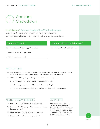

Your Mission // Outsmart the algorithms! Youth will compete against the Shazam app to name a song before Shazam's algorithms can. Humans vs machines in the ultimate showdown!

### What you'll need:

A device with the Shazam app downloaded

A source of music with speakers

Internet access (optional)

## INSTRUCTIONS

- 1) Play songs of your choice, one at a time, then have the youths compete against Shazam to name the song and artist. Play as many rounds as you like.
- 2) At the end of the game, ask the youths a few discussion questions.
	- › What songs would make it harder for Shazam? Why?
	- › What songs would make it harder for humans? Why?
	- › What other algorithms do they know that can do superhuman things?

## ALONG THE WAY DISCUSS…

- 1) How do you think Shazam is able to do this?
- 2) What are the things algorithms are good at that humans are not?
- 3 ) What are the things that Shazam can't do?
- 4) What are the limitations of algorithms?

### VARIATIONS

Play the game again using SoundHound instead of Shazam (Soundhound doesn't require clear recordings. It can recognize songs from people in the room singing them).



### 12

### How long will the activity take?

Each round takes about 20 seconds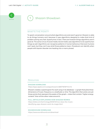1



# Shazam Showdown

## WHAT'S THE POINT?

To spark conversation around what algorithms are and aren't good at. Shazam is able to do things humans can't because it uses algorithms designed to make that kind of problem solving very fast. Superhuman in fact. There are however things algorithms aren't good at. The same is true of social media. Social media uses algorithms to do superhuman things as well. Algorithms can recognize patterns in human behaviour that even humans can't spot, but they can't say what those patterns mean. (Facebook can identify when people with bipolar disorder are heading into a manic phase).

#### Resources

#### SHAZAM DOWNLOAD

https://apps.apple.com/us/app/shazam/id897118787?mt=12

Shazam creates a spectrogram for each song in its database—a graph that plots three dimensions of music: frequency vs. amplitude vs. time. The algorithm then picks out just those points that represent the peaks of the graph—notes that contain "higher energy content" than all the other notes around it.

#### FULL ARTICLE EXPLAINING HOW SHAZAM WORKS:

https://slate.com/technology/2009/10/how-does-the-musicidentifying-app-shazam-work-its-magic.html

#### SOUNDHOUND DOWNLOAD

https://www.soundhound.com/download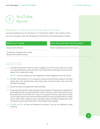# YouTube  $2)$  Sprint

### Your Mission // Race down the YouTube rabbit hole of video

recommendations to be the first to a "finish line video". The catch is that you can only get there by clicking on YouTube's recommendation videos.

## What you'll need:

Each round takes about 5-6 minutes

How long will the activity take?

Access to the Internet

Computers, smartphones or other devices with Internet access

### INSTRUCTIONS

1) The staff names the "Finish line video" category (i.e. Find a music video by an artist (i.e. Drake, Billie Eilish, Ariana Grande, Taylor Swift, Shawn Mendes); Find an epic fail video; Find a video with a dog).

NOTE // You can create your own categories or take suggestions from the youth.

- 2 ) On their cell phones or on a computer, everyone should close whatever YouTube videos they may already have open, then open a fresh browser. Then go to the YouTube homepage.
- 3 ) Everyone selects the upper left video available.
- 4 ) Once everyone has their video playing, the race begins. The players are supposed to go through the list of recommendation videos and click on the video that will most likely lead them to the "finish line" video. For example, if the first video that is clicked is a cat video, which of the recommended videos from there will help lead to a Drake music video? Other videos of cats or perhaps videos of children playing with cats? The goal is to get to the "finish line" in the fewest clicks possible.
- 5 ) OTHER RULES: You are not allowed to go back. You are not allowed to type anything.

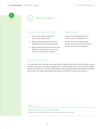

# 2) YouTube Sprint

#### ALONG THE WAY DISCUSS…

- 1) How are YouTube's algorithms making their selections?
- 2) What categories do you think the algorithms use to make decisions?
- 3 ) After doing this exercise, do you think differently about how much choice you have over what you watch?

### VARIATIONS

Instead of the fewest clicks, you could aim for the fastest time.

If there are not enough devices, people can pair up in teams. Divide the groups to pair up in teams.

### WHAT'S THE POINT?

To understand how YouTube (and other forms of digital media) tailors the content you see based on what you've already engaged with. In order to play and win at this game, players must think about how YouTube's algorithms make guesses about what the player would like to see. This helps make algorithms that are normally invisible more obvious.

#### Resources

#### KEEPING UP WITH THE ALGORITHMS

https://www.socialmediatoday.com/topic/algorithm-updates/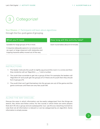

Your Mission // Participants will learn about algorithms through this fun, quick game of grouping.

## What you'll need:

Suitable for large groups of 15 or more.

It requires adequate space to run around, such as a gym or large classroom with obstacles and tripping hazards safely moved out of the way.

## How long will the activity take?

Each round takes about 5-6 minutes

## INSTRUCTIONS

- 1) The leader instructs the youth to lightly jog around the room in a circle and then they randomly call out "Algorithm \_\_\_\_\_" and a number.
- 2 ) The youth then scramble to get into a group of that. For example, the leaders call "Algorithm 5!" and youth get into groups of 5. If there are 15 youth then they should form 3 groups of 5.
- 3 ) The youth that can't get themselves into the groups are out of the game and the game continues until there are very few youth left.

### ALONG THE WAY DISCUSS…

Discuss the ways in which information can be easily categorized, from the things we search, like, share and follow online. For the rounds in which there are extra players that don't fit into a group and are subsequently 'out,' use this as a teaching moment to note that not all information is relevant or can be categorized by an algorithm. Some information is simply excess.

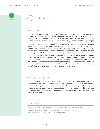

# 3 Categorize!

#### VARIATIONS

If the group is quick to learn the rules of the game and play it well, you can add some difficulty by changing the rules or the "algorithm" so that when you say "Algorithm \_\_\_" instead of everyone getting into groups of that number, you only want one group of that number in the middle of the circle. The catch is that they only have one try to get it right.

FOR EXAMPLE, you would have all 15 people jogging around in a circle, then you say "Algorithm 5" and everyone stops and everyone has to decide if they will jump into the middle to form the group of 5 or not but they must decide when you shout the number. So you may get 10 people jumping into the middle or 7, which are the wrong numbers. You can play this game with different numbers until magically the right number of youth jump in. If the youth are clever, they will start to communicate with each other about who jumps in. But even with communication it might be hard to get the magical number as you will not be announcing the number until they have to jump. The point of this variation is to show that for humans communication around complicated tasks can take time and there is confusion, but algorithms have hardwritten rules that are quick to execute so they are very efficient at categorizing no matter the rules we give them.

#### WHAT'S THE POINT?

Algorithms are simply made to categorize information as fast as possible. For example, if someone writes a post on Facebook that says: "I cannot wait to take a vacation after graduation to anywhere hot," an algorithm can track keywords and group them together in order to curate future results that seemingly appeal to that person. This is why ads for summer trips might pop up on your newsfeed more often after you have made posts related to that topic.

#### Resources

#### THIS IS EXACTLY HOW SOCIAL MEDIA ALGORITHMS WORK TODAY

https://www.skyword.com/contentstandard/marketing/this-isexactly-how-social-media-algorithms-work-today/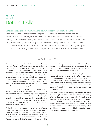# 2 // Bots & Trolls

#### Bots are simple tools for manipulating how we perceive information online.

They can be used to make someone appear as if they have more followers and are therefore more influential, or to artificially promote one message, or diminish another message. Bots are used throughout social media, but recently, have notably become tools for political propaganda. Bots disguise themselves as real people in a social media world based on the assumption of authentic interactions between individuals. Recognizing bots is critical to recognizing the kinds of manipulation that we are at risk of on social media.

# What Are Bots?

The Internet is rife with robots masquerading as humans from all different backgrounds--rich, poor, male, female, educated and even suffering from addiction and illness. We interact with these robots sometimes willingly and other times unwillingly. "Bots" are essentially artificial intelligence modules that impersonate human beings and fill our heads with propaganda. Our social media pages are filled with them. Facebook estimates that there may be as many as 270 million fake accounts on their service. That's more than seven times the population of Canada.

Bots are apparent on Instagram and Twitter as well. While some are easy to identify, others are not. Bots have become rampant in technology. They range from malicious bots that come with a virus attached, to search engine spiders that crawl the Internet looking for new domain names to buy. For this research brief, we will focus on a variety of bots that affect our decision-making in politics.

Technology that can imitate humans is not new. We've been developing it since the 1950s. The goal has always been to build technology that could intuitively interact with us and to simplify our lives. Presently, bots help us order food, shop, save money and find restaurants. People who design bots often program them to act like

humans so that, when interacting with them, it feels like talking to a human and not a robot. Just listen to the gentle voice of Siri as it tells you about the best Mexican restaurant in Red Deer, Alberta.

So how smart are these bots? The simple answer not very. Despite some forms of artificial technology becoming highly advanced (think Sophia the Robot), the bots we interact with online remain unsophisticated. Think about how frustrating it can be sometimes to ask Siri a question. In addition, if you have ever used a company's chatbot and asked a slightly complicated question, you share our pain.

Bots are notorious for stirring up trouble on social media. People use bots to influence politics in a variety of ways. Bots can help spread misinformation, help legitimize fake news stories with likes and shares and can even target individuals and politicians with negative comments and interactions. People use bots to influence what we read online, bias our perspective on things and seemingly legitimize misinformation, fake news and bigoted perspectives.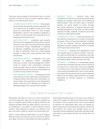There are various types of online bots. Here is a brief overview of them so that you have a general idea of what you are dealing with online.

- CYBORG/SOCKPUPPET BOTS // Cyborg bots are bots that are partially human operated. This is to help throw off suspicion that any of their posts are automated. Think of a sock puppet. Essentially, a person has created a disguise in an effort to hide himself. This empowers him to engage anonymously online.
- › AMPLIFIER BOTS // Amplifiers bots amplify the amount of engagement that online content receives. They remix and repost specific tweets or comments, "liking," "retweeting" or "replying" to enhance credibility and give legitimacy to an idea or individual. They try to make people, content or ideas look more popular than they actually are.
- DAMPENER BOTS // Dampeners are bots intended to suppress certain messages, channels or voices. They will engage with certain kinds of content with automated criticisms, create enough noise to drown messages out or manipulate the policies of social media platforms in order to have content removed.
- › TRANSPARENCY BOTS // Transparency bots automatically monitor data about and behaviour of governments and share this information on social media. One example is a bot designed to make a note any time updates are made to a Wikipedia page from a government location.
- SERVANT BOTS // Servant bots help transparency bots by automating simple tasks, helping to maintain data sets and simplifying data analysis. They are often used in research studies on social media to comb through the online behaviour of specific groups, thus identifying patterns of use. They can also update people on traffic, weather conditions and when schools or roads will be closed.
- › COMMERCIAL BOTS // Commercial bots can be used by companies for a number of business purposes. They can be automated like a chatbot to act as customer service representatives, helping to answer questions about the company and its products and services.
- › CHATBOTS // Chatbots are designed to chat with people about a variety of topics. They can be used commercially by companies, but they can also be used by organizations to share things like mental health advice and self-care tips.
- › BOTNETS // A botnet is a coordinated group of Internet-connected devices, each of which is running one or more bots. They work together to achieve any of the above-mentioned goals more quickly and effectively. They can be used to send spam, flood Internet servers, steal data and attack social media pages. Botnets are usually described as having negative or malicious intentions.

## How Does It Impact Our Lives?

Remember, the goal of a bot is to mimic some form of human behaviour. Bots can be used to simplify our day or complete menial tasks, as well as influence our political thought. Bots are often used to convince us of something, or to justify or make relevant certain content. They attempt to capture our attention and gain our trust in order to impact our online behaviour.

Here is a less nefarious description of a bot. Imagine feeling hungry and opening up your phone to search your apps. You land on Uber Eats and order yourself an

extra large Hawaiian pizza. It arrives at your home in under 30 minutes. You did this all without ever talking to a person. This is a great use of a bot. It was created to perform an automated task, such as setting an alarm, telling you the temperature outside or searching the Internet. Siri, Alexa and Google Home are all examples of bots designed to automate everyday tasks and make our lives easier. But the use of bots does not end here.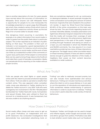Here is another description of a bot. For years people have worried about the accuracy of information on Wikipedia. Since anyone can edit Wikipedia there is opportunity for people to try and manipulate the knowledge presented on a given page. But Wikipedia got smart, they created a series of bots which track all edits and when suspicious activity shows up the bot flags it for a human editor to double-check.

One dangerous trend occurring in journalism, for example, is to collect information from social media in order to guess how the public feels about a particular subject. This is then reported as an indicator of public feeling on that issue. The problem is that such an indicator is not necessarily a good representation of true public sentiment. For instance, not all communities are equally active on social media, and the work of bots can make up a substantial number of the comments on a given issue, particularly if that subject is controversial. Bots can be used to bring fringe ideas to the forefront and make them a part of everyday conversation. Media can perpetuate this by reporting on the matter without proper scrutiny.

Bots are sometimes deployed to stir up controversy on ideological debates. A recent example includes the online conversation surrounding the caravan of Central American migrants that were headed to the southern U.S. border. A report by Wired found that between 40-60% of the online conversation on this topic was driven by bots. The use of bots regarding issues such as these intensifies debate, increases polarization and legitimizes otherwise marginal viewpoints to the extent that the media will increase their coverage of said perspectives. Moreover, this phenomenon legitimizes said perspectives in the eyes of the public. Imagine scrolling through Facebook and seeing an article on a topic you are interested in which has 100,000 likes and 50,000 comments. You may assume it is a mustread before wondering how many of these interactions are genuine. The bigger issue is when journalists report on these trending subjects. If bots are able to amplify stories enough to grab the attention of the media, it heightens their power as their content becomes available to a wider audience.

## What Are Trolls?

Trolls are people who start fights or upset people online with the intent to provoke emotional responses from others. Trolls are able to use bots to amplify their content online. This was apparent when comedian Leslie Jones was attacked on Twitter, leading her to delete her Twitter account in July, 2016. Trolls who were outraged by her involvement in the film "Ghostbusters" bombarded her Twitter feed with racist, homophobic and sexual threats. Bots were utilized to flood her account to a breaking point. It was harassment, but she was unable to do anything about it.

"Trolling" can refer to relatively innocent pranks, but can also include more sophisticated and serious behaviours. Trolling can include mischievous activities where the intent is not to cause distress or it can seek to ruin the reputation of individuals and organizations. Trolls sometimes release embarrassing or personal information in order to cause harm or distress. "Trolling" is now a term used to describe a wide variety of Internet behaviours.

## How Does It Impact Politics?

Social media offers cheap and easy ways to get up to no good. ProPublica, an independent and nonprofit newsroom, has conducted investigations that demonstrate how automated advertising tools on

Facebook, Twitter, and Google can be used to target and inflame bigots, and/or target and exclude races and ethnic groups from politics. ProPublica was able to test whether social media sites such as Facebook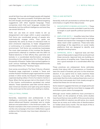would let them buy ads and target people with bigoted language. They were successful. ProPublica also tried this with Google, and Google actually offered targeting suggestions with other bigoted language. These companies claim that such language violates their standards, but the artificial intelligence and bots they use remain blind to it.

Trolls can use bots on social media to stir up disagreement and anger within a given population. Troll farms are coordinated groups of people who systematically engage online. Their goals are essentially the same as those of individual trolls: to elicit emotional responses, to foster disagreement or controversy, or to create a hostile communication environment. Troll farms are sometimes businesses. The most cited example of this involves the Russian government's attempt to interfere with the 2016 U.S. federal elections. In their efforts, they used bots and botnets in a coordinated disinformation campaign. According to the cybersecurity firm FirmEye, tens of thousands of Russian Twitter bots worked together to push various hashtags like #WarAgainstDemocrats and #DownHillary into "Trending" topics.

Even worse, according to The Texas Tribune, a Russian Facebook page organized a protest in Texas and another Russian Facebook page organized the counter protest. In other words, two Russian Facebook pages organized dueling rallies in front of an Islamic Centre in Texas. When the two groups met on the street in front of the Centre, confrontations escalated into verbal attacks. These operatives used fake activist sites to steer American Muslims and right-wing anti-Muslims to the same spot at the same time, leading to clashes.

#### TROLLS/TROLL FARMS

Generally, researchers and professionals in the intelligence community agree that the goal of the above-referenced Russian campaign was to create distrust and polarization in the American public. The Russian example is the most commonly cited, but it is not the only campaign of its kind. In 2018, there is good evidence that Canada may have been attacked in a similar way.

#### TROLLS AND BOTNETS

Generally, trolls will use botnets to achieve their goals and employ a roughly three-step process:

- 1) SOCKPUPPET/CYBORG ACCOUNTS // These are frontline accounts controlled in part by trolls to target or push specific political opinions and ideas.
- 2) AMPLIFIER BOTS // Amplifier bots then follow these accounts in huge numbers and re-arrange, retweet and repost their messages to help these ideas reach wider audiences. These bots take advantage of the algorithms on social media platforms that are designed to identify and highlight trending topics.
- 3) APPROVAL BOTS // Approval bots will then reply to these posts to signal that we should trust these accounts. Approval bots are building on the actions of amplifier bots. These three steps are a good example of a coordinated effort by bots.

These practices are widespread. Some estimates predict that about 44% of impressions on Facebook were the result of botnets just prior to the American election. If you spend time to really examine these accounts, it becomes clear that their profiles are automated. But the trolls creating these bots count on the fact that most people don't look closely enough to realize that these are not real accounts.

Some research suggests that bots can target particular human users who might be more likely to engage with and share a given piece of propaganda.

Although social media platforms have promised to crack down on the presence of bots, some studies have found that as many as 80% of the accounts active during the 2016 U.S. election are still active. As a result, there are as many as 6 million bits of disinformation on Twitter alone every month. The net result of this is decreased trust in online discussion.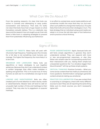# What Can We Do About It?

From the existing research, it's clear that bots are active in Canada and attempting to sway public conversation and behaviour. That said, it's really not clear that bots have had a huge impact on what Canadians actually believe. This is a relatively new issue and the research has not caught up yet. Even still, there is little harm in adopting strategies to prevent them from potentially influencing your behaviour.

In an effort to combat bots, social media platforms will sometimes modify the ways that they run, but even when such platforms change their behaviour, it's quite likely that trolls will evolve their strategies in turn. The best strategy that an individual using social media can adopt is to know the tell-tale signs of bot behaviour and to practice critical thinking.

# Signs of Bots:

NUMBER OF TWEETS: Many bots will post with inhumanly high frequency. Tweeting every five minutes for a full day is not something most humans can manage. The higher the frequency, the more likely it is to be a bot.

GRAMMAR AND LANGUAGE: Many bots use algorithms or basic strategies to put together sentences. Because they don't yet understand context in written language, they often make mistakes in spelling and grammar. This is of course true of many humans as well, but it is nonetheless one sign to look for.

LINKING AND HASHTAGGING: Bots are often created just to funnel attention to other stories, media or advertisements. Messier bots will tend to add an unusually high number of links and hashtags to their content. They may also try to piggyback on popular hashtags.

POOR UNDERSTANDING: Again, because bots are still fairly simple algorithms in general, they don't understand context. They can respond with more or less pre-programmed responses, or else they follow very simple rules for incorporating words from their interactions with you. Asking them simple but unexpected questions like "is a shoebox bigger than Mount Everest?" will trip up these simple systems.

CRITICAL THINKING: Practice Curiosity – When you come across content that has made you emotional, ask more questions. Disinformation campaigns generate content aimed at making you emotional.

PRACTICE COLLABORATION: If you see content that is surprising or outrageous, check with many different sources to see if they are all reporting the same thing. Make sure to check sources you don't necessarily agree with.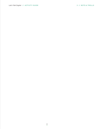23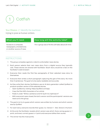

## Your Mission // Identify the machines trying to pose as human writers.

## What you'll need:

## How long will the activity take?

Access to a computer, newspapers, smartphones or another source of news

For a group size of 15 this will take about 20 mins

#### INSTRUCTIONS

- 1) The group competes against a robot to write better news stories.
- 2 ) Each person selects their own news story from a digital source they typically visit. These stories are shared with facilitator. (Each story would be a tab on the facilitator's web browser).
- 3 ) Everyone then reads the first few paragraphs of their selected news story to themselves.
- 4 ) Everyone then writes a short paragraph capturing the gist of the story. No more than 4 sentences. The goal is to be easily readable and accurate.
- 5 ) As they write their stories, facilitators use an AI story generator called Quillbot to produce another version of the selected stories.
	- Open Quillbot by visiting: https://quillbot.com/app
	- Copy the first 400 characters of an article
	- Paste it under "Write a sentence and hit Quill it to rephrase it"
	- With everyone's eyes closed, the bot's version and the participants' versions are read out to the group.
- 6 ) The goal is to try to guess which version was written by humans and which version was by Quillbot.
- 7 ) For each story, everyone records their guess. (i.e. Version 1 Bot, Version 2 Human).
- 8 ) At the end, the facilitator reveals which version was which. Every wrong guess is -1 point, and every correct guess is +1 point and everyone tallies their scores.



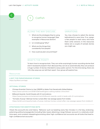

# Catfish

### ALONG THE WAY DISCUSS…

- 1) What are the strategies they're using to recognize human language? (See examples in Resources section)
- 2) Is it challenging? Why?
- 3 ) What are the things that consistently fool people?
- 4 ) How could we plan around these?

## VARIATIONS

You may choose to select the stories beforehand to save time. If so, assign a few people to each story and have them write versions. In the resources below are a couple of sample stories you might use.

#### WHAT'S THE POINT?

To learn how to recognize bots. They can write surprisingly human-sounding stories that aren't necessarily based in fact. Because they can do so automatically, they can produce a huge number of stories intended to sway public opinion. For the time being, there are still a few ways we can tell them apart. Your group will explore how.

#### Resources

#### A BOT FOR PARAPHRASING STORIES

https://quillbot.com/app

#### OPTIONAL STORIES

- Chinese Scientist Claims to Use CRISPR to Make First Genetically Edited Babies https://www.nytimes.com/2018/11/26/health/gene-editing-babies-china.html
- › Billboard Awards: Cardi B leads with 21 nominations https://www.foxnews.com/entertainment/billboard-awards-cardi-b-leads-with-21-nominations
- › 'Tornado of poop': Melrose homes ruined after raw sewage spews from toilets https://whdh.com/news/tornado-of-poop-melrose-homes-ruined-after-raw-sewage-spews-from-toilets-2/

#### STRATEGIES FOR IDENTIFYING BOTS

Check the account's bio and history. "Behavior such as tweeting every few minutes in a full day, endorsing polarizing political propaganda (including fake news), obtaining a large follower account in a relatively small time span, and constant retweeting/promoting other high-confidence bot accounts are all traits that lead to high-confidence bot accounts."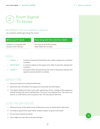# From Signal 2) To Noise

Your Mission // To try to remember a sequence of numbers while ignoring the noise.

## What you'll need:

## How long will the activity take?

A phone or computer with access to the Internet

For a group of 15 this activity takes about 20 minutes

## ROLES

| SIGNAL //          | A person (usually the facilitator) who reads a sequence of random<br>numbers.                         |
|--------------------|-------------------------------------------------------------------------------------------------------|
| <b>RECEIVER //</b> | A receiver listens to the signal and, after 5 seconds, repeats the<br>numbers.                        |
| <b>NOISE //</b>    | During the five second period, the rest of the group distorts the<br>signal by saying random numbers. |

## INSTRUCTIONS

- 1) Everyone takes turns being the Receiver.
- 2) Receivers who remember the sequence incorrectly are eliminated.
- 3 ) The Signal begins the first round with sequences of four numbers (the sequence should change with each new Receiver). The next, it increases to five. The next to six and so on until there's only one person left. The last person left wins.

## ALONG THE WAY DISCUSS…

- 1) What are some of the other kinds of behaviours you've heard about with bots?
- 2 ) Is it easy to ignore the noise? What makes it easier to ignore the noise?
- 3 ) Do you think all bots are bad?
- 4 ) How might you use bots to do good things?

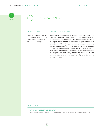

# 2 ) From Signal To Noise

## VARIATIONS

Have some people act as "amplifiers" repeating the correct sequence. Does this change things?

## WHAT'S THE POINT?

To explore a specific kind of disinformation strategy—the use of social media "dampener bots" designed to drown out targeted perspectives with enough noise to cloud the signal. For instance, a Canadian law professor tweets something critical of the government. A bot created by a person supportive of that government might then produce dozens of tweets being hyper-critical of the professor. This gives someone who happens to see the exchange the impression that many people are very upset with the professor and drowns out the original criticism the professor made.

#### Resources

#### A RANDOM NUMBER GENERATOR

https://www.Google.com/search?client=firefox-b-d&q=random+number+generator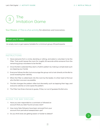

Your Mission // This is a fun activity for attention and innovation.

## What you'll need:

An empty room or gym space; Suitable for a minimum group of 8 participants

### INSTRUCTIONS

- 1) Have everyone form a circle, standing or sitting, and select a volunteer to be the Filter. That youth leaves the room for roughly 30 seconds while someone from the remaining group volunteers to be the Bot.
- 2 ) Once the Bot is selected they start a rhythm pattern by making a simple beat such as clapping your hands.
- 3 ) Everyone follows the Bot, but encourage the group not to look directly at the Bot to avoid revealing their identity.
- 4 ) When the Filter is called back into the room by the leader, it is their task to find out who the Bot is as soon as possible.
- 5 ) The Bot changes the pattern often but discreetly, such as tapping their legs, and everyone catches on and copies the pattern.
- 6 ) The Filter has three chances to guess, if they run out of guesses the Bot wins.

### ALONG THE WAY DISCUSS…

- 1) Have you ever responded to a comment or followed an account that you later found out was a bot?
- 2) How many fake followers have been removed from your account from periodical sweeps/clean ups?
- 3 ) Do you think bots are getting easier or harder to detect?

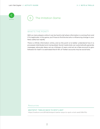

# 3 The Imitation Game

## WHAT'S THE POINT?

With so many players online it can be hard to tell where information is coming from and if it's legitimate. In this game, you'll have to find the bot who is influencing change in your feed, subtly but rapidly.

There is infinite information online, and so the point is to better understand how it is processed, distributed and manipulated. Social media bots can automatically generate messages, advocate ideas, act as a follower of users, and act as a fake account to gain followers for itself. It is estimated that 9-15% of Twitter accounts may be social bots.

#### Resources

#### #BOTSPOT: TWELVE WAYS TO SPOT A BOT

https://medium.com/dfrlab/botspot-twelve-ways-to-spot-a-bot-aedc7d9c110c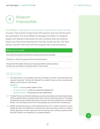

Your Mission // Cyborg bots are bots that are operated at least in part by a human. This is done to help throw off suspicion that any of their posts are automated. The more lifelike the dialogue the better. In this game players will attempt to persuade the user to believe they are someone they're not. Pick three volunteers for the first round: the 'Bot,' the 'Real Person,' and the 'User' who will have to guess who is the real person.

## What you'll need:

Cue cards and pencils to keep the writing as discreet as possible.

Fitting for a close-knit group. Minimum 6 participants.

Ensure that the leader checks each response before reading it aloud so that they can flag any inappropriate or mean words.

## **INSTRUCTIONS**

1) The Real Person, for example, Terrance, will keep all of their characteristics and respond naturally. The Bot will attempt to emulate Terrance when answering to appear convincing as a real person.

#### EXAMPLE

- › Question: Do you prefer Coffee or Tea?
- › Terrance's answer: I prefer tea, especially peppermint.
- Chatbot's answer: Tea because it's less caffeinated.
- 2 ) The Real Person and the Bot both get cue cards where they will write answers down to the questions that are asked by the User in front of the entire group. The leader will take the answers, shuffle and read out loud for the User to decide who is the Real Person. You can keep score of how many guesses are correct with a small group.
- 3 ) Rotate among the group so that everyone has a turn in each role even if some people go twice. For added fun, randomly pick a Bot every few rounds to include a robotic giveaway in their response such as sharing a link, asking a question back (like, did I answer your question), or unnatural speech.

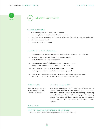

## 4 Mission Impossible

#### SAMPLE QUESTIONS

- › What could you spend all day talking about?
- › How many times a day do you look in the mirror?
- › If you had to live a week without internet, what would you do to keep yourself busy?
- › What's your dream job?
- Describe yourself in 3 words.

#### ALONG THE WAY DISCUSS…

- 1 ) What were some giveaways that you could tell the real person from the bot?
- 2 ) How often do you use chatbots for customer service and what has been your experience?
- 3 ) Have you ever been fooled by someone in your comments that you responded to that turned out to be a bot?
- 4 ) Have you ever received an automated text, call or email claiming to be a company that ended up being fake?
- 5 ) With so much of our personal information online, how easy do you think a sophisticated bot would be able to imitate your writing style?

#### VARIATIONS

Have the group come up with 20 questions that anyone can answer.

#### WHAT'S THE POINT?

The more adaptive artificial intelligence becomes the more difficult it will be to know online human interaction from bots. Social media platforms are deleting concerning amounts of Facebook accounts that engage with everyday pages. This game will bring awareness to pay greater attention to unfamiliar messages and comments that could be bots.

#### Resources

#### HOW TO TELL IF YOU ARE TALKING TO A CHATBOT

https://phrasee.co/how-to-tell-if-you-are-talking-to-a-chatbot/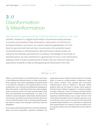# 3 // Disinformation & Misinformation

Bad information, spread innocently or with the intention to deceive, is not a new problem. However, in a digital world where it has become cheap and easy to produce and broadcast false information, information of all kinds can be shared widely in an instant. As a result, traditional gatekeepers of truth have lost ground and there are new concerns about the potential impact of misinformation or disinformation. Bad information shared online can influence the attitudes and behaviour of millions. Knowledge of the threat of misinformation can also contribute to a general lack of trust in any information, making it hard to build a shared sense of what's real. But there are tools and approaches available to help us distinguish good information from bad.

# What is it?

What is misinformation and disinformation and what is the difference? Misinformation is false information that is spread. This is done regardless of whether there is an intent to mislead or not. Disinformation is more problematic, as it involves the deliberate spreading of false information. A blending of the two is also possible, where malicious actors can take misinformation that they see spreading and perpetuate it or twist it for political or personal gains. Essentially, disinformation can be seen as either someone fanning the flames of a fire of misinformation that is already spreading with the intent to cause more damage or starting a new fire altogether.

According to Michele Rosenthal from the New Scientist, there are three especially important problems for

researchers, policy makers and the public to consider when it comes to misinformation in television, radio and online content. First, people who encounter misinformation tend to believe it. Second, media systems often do not block or censor many types of misinformation before it appears in content available to large audiences. Third, countering misinformation once it has reached the public is extremely difficult and expensive. Misinformation was a major theme in the most recent Canadian and U.S. federal elections, and it continues to be a worry moving into the upcoming Canadian federal election. It is important to understand how misinformation can impact us and our politics, and it is equally vital to know the steps that we can take to fight it.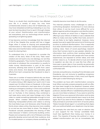## How Does It Impact Our Lives?

There is no doubt that misinformation has affected your life in a variety of ways. You may have unintentionally shared a story full of falsehoods, you may have retweeted something misleading or you may even be learning about how to spot it through classes at your school. Disinformation and misinformation are everywhere, and our technology-driven world is spreading it at lightning speed.

It has become common knowledge that the Internet is full of lies. Despite this, society still has a trigger finger when it comes to sharing and perpetuating misinformation or "fake news." Despite warnings about fake news and misinformation online, society still has a knack for sharing them.

To understand this, it is important to consider the creator of the story. Most of the time, "fake news" creators are not loyal to any one ideology, nor are they limited by geography. They monitor the pulse of society and seize on whatever the conversation is, usually to make money. Misinformation is part of the online economy, allowing bad actors to profit from users' clicks and shares. And despite the ostensibly great efforts from tech companies like Facebook to stop it, it persists.

There are a number of reasons behind why we share misinformation. First, seeing is believing. In 2018, a video of a plane doing a 360-degree turn went viral. It was viewed over 14 million times on Facebook. In this case, someone had combined a real news story of a plane making an emergency landing in China and combined it with a fake video of a plane doing a 360 degree turn on YouTube. In this instance, they combined a real news story, some real news footage, and a fake video to create something believable enough to trick people. When created effectively, misinformation featuring manipulated photos and videos is among the most likely to go viral. Moreover, when friends and family share videos online, they become more credible to us and we are more likely to share. The design of Facebook actually perpetuates the sharing of fake news because it fosters community-building online. People and companies with a lot of followers and likes generally develop some trust with their audience. And if a trusted person or company shares something, we

instantly become more likely to do the same.

The Internet presents many challenges to users in confronting deception. Sometimes it is more obvious than others. It can be much more difficult for us to defend against political deception and disinformation. When we receive an email from a "Nigerian Prince" offering to pay millions of dollars or see a website that offers to make one's lips "puffier than Kylie Jenner's", we are likely to be highly skeptical. However, many people have yet to apply that same kind of thinking and scrutiny to political disinformation. This is especially true when disinformation conforms to someone's preexisting views. Years of social psychology research show that humans tend to pay greater attention to information that confirms their existing beliefs. We also tend to spend time with people who have similar experiences, are exposed to similar ideas, and hold similar views to us. To decide what to trust and what to question we also rely on cues like how often we have seen a given idea or how recently we personally experienced something similar to an idea that we are confronted with.

Activists and politicians, including Prime Ministers and Presidents, are not immune to peddling conspiracy theories and false promises. In fact, many such figures often gain a wide following by doing so.

The problem we have with misinformation concerns trust. When a private company presents us with an offer, we have been taught to be skeptical. However, when the offer comes in the form of a promise from a trusted politician, elected official or established political party, you are more likely to believe it. If you were to send the Nigerian Prince your personal information and he stole your identity, you would instantly learn never to do that again. But if you were to find a website or Twitter feed that promises to promote some form of social justice, "Make Canada Great Again", or something that aligns with your political beliefs, your skepticism may be lower.

For example, the vote that you cast on election day or your support for the "wrong" candidate feels much less significant than losing your money in a scam. The impacts of buying into political or newsrelated misinformation are not as immediately felt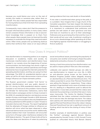because you could blame your error on the rest of society, the media or someone else, rather than on yourself. This also makes people feel less responsible for having behaviours that limit them from spreading misinformation.

Consequently, many voters don't feel the pressure to be super informed about politics. In many cases, voters remain unaware of basic information or rely on secondhand knowledge that is passed on to them from other people. Many people have not learned the skills necessary to evaluate the things they read and watch online. Often times, people end up believing dubious claims that reinforce their views on an issue without seeing evidence that may cast doubt on those beliefs.

If one voter is misinformed when going to the polls, it is a problem. Now imagine that a huge chunk of the Canadian population has been duped into believing falsehoods—the consequences could be monumental. It is important to understand that politicians and parties are well aware of voter ignorance and bias and have an incentive to use it to their advantage. Politicians end up promising this, that and the moon if their words will win your vote. A politician unwilling to do so is at a disadvantage, either spending all of their time fighting against misinformation or struggling to find an audience.

## How Does It Impact Politics?

How disinformation is impacting politics is an ongoing discussion in academia, media and society. As mentioned, misinformation and disinformation have existed in our society since the beginning of human communication, but technology has shone a light on the problem. Moreover, political operatives and foreign adversaries have recognized the Internet's potential for spreading disinformation, and they are using it to their advantage. The 2016 U.S. presidential election was a wake-up call for all major democracies in terms of how foreign influence can impact domestic politics.

The Russian government created "troll farms" to spread disinformation and sow public discord in the U.S. during its 2016 presidential election season. Canada is not immune to this problem. Karina Gould, the Minister for Democratic Institutions, warns that disinformation campaigns similar to those involved in the 2016 U.S. presidential election and elections across western Europe could target Canada in 2019. Moreover, the Canadian Communications Security Establishment recently published its 2019 Update on Cyber Threats to Canada's Democratic Process. The report highlighted that the attempts of foreign entities to influence our election will mirror what has been observed in other advanced democracies around the world. Additionally, experts believe that most Canadians will encounter some form of foreign cyber interference related to the 2019 federal election. The goal of these trolls will be to sway the ideas and decisions of voters by polarizing social and political issues, promoting the popularity of one party over another and trying to shape the public statements and policy choices of a candidate.

Having a hard time picturing how disinformation can be used to impact politics? Here are a few examples.

Lobbyists and special interest groups are able to use disinformation to impact our civic life. In 2015, an anti-abortion group known as the Centre for Medical Progress posted videos allegedly showing an aborted fetus at a Planned Parenthood clinic. The videos purported to prove that Planned Parenthood was selling the fetuses to researchers. These videos sparked a huge backlash and a wave of protests across the U.S., leading to a Republican push to defund the organization. It was later proved that the videos were doctored, thus presenting a narrative that was in many ways inaccurate. The Centre for Medical Progress admitted that the videos contained misinformation but it was too late; the damage was done. The videos were used by anti-abortionists to raise funds and fight against Planned Parenthood. Since the videos' release, Planned Parenthood has lost a significant amount of funding, which has led to the closing of many of their offices.

Another example of disinformation in politics was the "birther" campaign against Barack Obama, perpetuated by Donald Trump. In 2011, Donald Trump pushed an unfounded theory that Barack Obama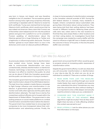was born in Kenya, not Hawaii, and was therefore ineligible to be U.S. president. The accusations gained traction among many right-wing conspiracy theorists, culminating in repeated calls for Obama to reveal his birth certificate. Trump even claimed that he had seen Obama's birth certificate, which would prove that he was indeed not American. Many claim that Trump's use of the birther claim helped launch him into the political sphere and gave him a platform to run for president. Trump's peddling of disinformation about the Obamas gained him a huge following on Twitter and a legitimacy in influencing public discourse. The term "birther" gained so much steam that it is now in the dictionary and is even an obscure political affiliation.

A closer to home example of a disinformation campaign is the Canadian robocall scandal of 2011. During the 2011 federal election in Canada, many residents in Guelph, Ontario complained about automated calls giving false information about voting locations. They were being told that their polling stations had been moved to different locations. Believing these phone calls were real, voters went to the new locations to find that they were empty fields or other locations and not their voting station. An investigation found that the campaign was created by a party staffer with the intent to influence a tight MP race in Guelph and swing the outcome in favour of his party. In the end, the party staffer was convicted.

# What Can We Do About It?

As previously stated, misinformation & disinformation have existed since human beings have been able to communicate. Misinformation can occur unintentionally, whereas disinformation is intentional. However, technology is becoming a powerful tool to harness in an effort to misinform the public. So what can we do about it? Both the Canadian government and the public can take action in trying to combat it.

The Canadian government has launched a task force to fight misinformation ahead of the 2019 federal election. The task force has created a media literacy campaign to fight foreign influence and misinformation in our election. A government agency has been created to monitor and notify other agencies and the public about disinformation attempts. The task force is led by five nonpartisan political officials and is housed within the Department of Global Affairs. The government is also putting pressure on social media platforms to combat misinformation and disinformation before the election. The government has created laws to encourage tech companies to be more transparent about their antidisinformation and advertising policies. Finally, the

government announced that \$7 million would be given to projects aimed at increasing public awareness of misinformation online.

Despite the government's efforts, it is still very likely that you will encounter misinformation or disinformation in your day-to-day life. So what can you do as an individual to combat it? There are a number of things.

- 1) READ MORE THAN JUST THE HEADLINE. How often are you scrolling through your social media feeds, then read a headline and assume you understand the story? Sometimes you may even like and share the story without reading it. It is important to dive a little deeper and actually read the article to make sure you understand it.
- 2) CONSIDER WHY THIS CONTENT MADE IT TO YOUR FEED AT THIS MOMENT. What algorithms might be at play? How do they work? Might there be bots or trolls affecting whether this content was served to you?
- 3 ) READ LATERALLY, look for other places you can find information on the topic.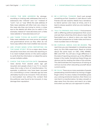- 4) CHECK THE WEB ADDRESS for strangesounding or looking web addresses that end in extensions like ".infonet" and ".co" "instead of ".com", ".ca", or ".org". While the web address of fake news websites will often look very close to the news site they are trying to mimic, a close eye to the details will allow you to catch it. For example, instead of "www.abcnews.com", a fake news website is "www.abcnews.com.co"
- 5 ) ARE THERE TYPOS OR SLOPPY WRITING? Fake news websites are more prone to spelling and grammatical errors as they often do not have copy editors like most credible new sources.
- 6 ) ARE OTHER NEWS SITES REPORTING ON THE SAME STORY? If it is a major story there should be more than one news site reporting on it so read multiple stories on the same subject to verify that the information is indeed the same across multiple outlets.
- 7 ) CHECK THE PUBLICATION DATE. Sometimes news stories from several years ago get recycled and people share it as if it is recent news, this is also a form of misinformation. For example, a politician may have been accused of a committing a crime a decade ago but was ultimately found to be innocent. If the old story is recirculated now without the context that the politician was found to be innocent, it may damage their reputation.
- 8) BE A CRITICAL THINKER. Don't just accept something as fact. Question it, talk about it with friends and ask experts. Media has a tendency to blend opinion and news at times, and it is best to always question what you are reading or watching.
- 9) TALK TO FRIENDS AND FAMILY. Find someone with a differing political perspective than yours and ask them what they think about a topic that fascinated you or about a story you read. See what their perspective is, trade notes and have a more rounded view on the topic.
- 10 ) BE CURIOUS. MEDIA CAN BE BIASED. The next time you are interested in a breaking news story, try this little experiment. Read an article about the same topic on CBC, CNN, MSNBC, BBC and FOX. You will see a huge difference in the style of reporting and pick up on the different biases in the media. Sometimes these things are obvious just by reading the titles of the articles. This demonstrates the importance of looking at various sources when educating yourself about current events.
- 11 ) BE CALM. There are so many examples of people perpetuating misinformation by having a trigger finger online. If a story makes immediately gives you a strong emotional reaction, then there is a risk that it is misinformation. So take a breath or step away from the story and read it at a later time when you feel you can approach it calmly.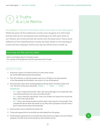# 2 Truths & a Lie Remix <sup>1</sup>

Your Mission // Sort fact from fiction with a new twist on this classic game. While the point of the traditional 2 truths and a lie game is to tell truths and lies that do not necessarily have anything to do with each other, in our version, the truths and lies are woven into the same story. This is more reflective of how disinformation stories are built, based on the weaving of truths and lies, making it hard to just say the whole story is made up.

## How long will the activity take?

Each round takes about 4 minutes to play. For a group of 15 people this activity lasts about 20 minutes.

## INSTRUCTIONS

- 1) Everyone is given 3 minutes to think of a story they would be comfortable telling about themselves.
- 2 ) Pair off randomly or with the people next to you. (If there is an extra person, or too few people, the facilitator can jump in or out of the game.)
- 3 ) Pairs tell each other short autobiographical stories which include 2 truths and 1 lie. The form of the story should be: ONCE I...  $\rightarrow$  THEN... → NOW I...

#### EXAMPLES:

- › 01 // Once I had braces (truth). Then I got nerve damage in my cheek (lie). Now I can't feel anything on an area of my face (truth).
- 02 // Once I had two cats (truth). Then one of them ran away from home (lie). Now, I don't like cats (truth).
- 03 // Once I was riding my bike to school when I saw a skunk run by (truth). Then I chased the skunk down the street on my bike and it sprayed me (truth). Now, I don't chase skunks down the street (lie).
- 4 ) Each partner tries to identify the other's lie.
- 5 ) Those who guess the lie incorrectly are eliminated from the game.
- 6 ) If both players guess the lie incorrectly then they have to try again until one of them guesses correctly and can be paired up with another winner.

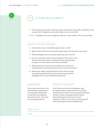

# 2 Truths & a Lie Remix

7 ) The winners of each pair continue to face-off against each other until there is only one pair left. The game is over when there is only one liar left!

NOTE // Facilitators are encouraged to make up a story of their own as an example.

#### ALONG THE WAY DISCUSS…

- 1) How did you know if something was a truth or a lie?
- 2) Was it hard to tell the truths and lies apart when it is all part of one story?
- 3 ) What strategies were you using to get away with your lie?
- 4 ) Do you remember a story that you heard on the news or one that someone had told you before that was similarly hard to figure out what was true and what was false?
- 5 ) What does this all mean for the media and our ability to understand the truth, particularly when it comes to politics?
- 6 ) Most many media organizations are not in the business of spreading disinformation, but of those that do, which strategies can we use to identify bad stories?

#### VARIATIONS

If you have more time, or the game finishes quite fast, try a round where people get to ask follow up questions about the stories. How does this change the game?

#### WHAT'S THE POINT?

One of the most common strategies used by disinformation organizations is to embed disinformation within many accurately reported stories in order to disguise disinformation. Playing this game brings your group's attention to this in a fun way. It's a jumping off point to talk about how to address that.

#### Resources

N / A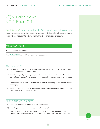# Fake News  $2)$  Face Off

Your Mission // We are on the hunt for 'fake news' in media. Everyone and their granny has an online opinion, making it difficult to tell the difference from what's hearsay to what's shared with journalistic integrity.

## What you'll need:

Computers or smartphones.

See VARIATIONS below if there is no Internet access.

### INSTRUCTIONS

- 1) Set your group into teams of 2-5 that will compete to find as many articles and posts about a controversial topic online.
- 2 ) Each team gets 1 point for posts/news from civilian broadcasters (aka the average person) and 2 points for fake news from independent sources (example: dailynews. com).
- 3 ) Provide the group with 20-30 minutes to search, checking on their progress and offering tips.
- 4 ) Give another 20 minutes to go through each group's findings, select the winning team, and leave room for discussion.

### ALONG THE WAY DISCUSS…

- 1) What are some of the patterns of misinformation?
- 2) How do you address your peers sharing fake news?
- 3 ) Can you share a time when you were a victim of innocently sharing news you thought was real but turned out to be false, and what would you do differently?

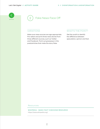

# 2) Fake News Face Off

### VARIATIONS

Make sure news sources are age appropriate. Pre-select and print three news stories from three different sources, such as Twitter and Facebook. Point out giveaways in the posts/articles that make the story false.

### WHAT'S THE POINT?

Get the youth to identify the difference between speculation, opinion and fact.

#### Resources

#### WIKIPEDIA - BASIC FACT CHECKING RESOURCE

https://www.wikipedia.org/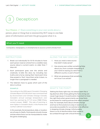# )ecepticon

Your Mission // Share something in your own words about a person, place or thing that is newsworthy BUT swap in one fake piece of information and have the group guess what it is.

### What you'll need:

Computers, newspapers, or smartphones to source current articles from.

### INSTRUCTIONS

- 1) Break out individually for 10-15 minutes to have each person read an article from a credible news source about a current event, no older than 7 days old.
- 2) Each participant goes over the article and creatively re-tells the story by including two truths and a lie by raising their hand each time they present a 'fact'. Have them write it down, no longer than a paragraph is needed.
- 3) The listeners have to guess which part of the story is untrue.

#### EXAMPLE:

*"According to the 2019 report Canada's Changing Climate Report (CCCR) which was commissioned by Environment and Climate Change Canada, Canada's annual average temperature over land has warmed by [1.7 C] since [1968 (False, correct answer: 1948)] . The rate of warming is even higher in Canada's North, in the Prairies and northern [British Columbia]."*

In this example, the temperature, date, or location are all easy to falsify. Participants should choose articles where facts can be manipulated to make the game challenging.

#### ALONG THE WAY DISCUSS…

- 1) Have you read a news source that didn't make sense?
- 2) Has anyone ever written something false about you, from a simple misspelling of your name to saying you were from a different country or part of town?
- 3 ) What are giveaways that something isn't true in an article?

## WHAT'S THE POINT?

Getting the facts right may not always seem like a big deal but other times getting the facts wrong can cause huge issues. It is particularly important to have the right facts when governments use those facts as the basis for making policies that affect peoples' lives. For example, facts about climate change and how to find solutions to stop it need to be as accurate as possible for our policies to be effective in stopping climate change. Unfortunately, there is a lot of disinformation that needs to be combed through with critical thinking.

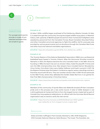

# Decepticon

### VARIATIONS

For younger participants provide a couple of preselected examples that are simple to guess.

#### EXAMPLE #1

On May 1, 2016, a wildfire began southwest of Fort McMurray, Alberta, Canada. On May 3, it swept through the community, forcing the largest wildfire evacuation in Alberta's history, with upwards of 88,000 people forced from their homes.[12] Firefighters were assisted by personnel from the Canadian Forces, Royal Canadian Mounted Police, and other Canadian provincial agencies, to fight the wildfire. Aid for evacuees was provided by various governments and via donations through the Canadian Red Cross and other local and national charitable organizations.

SOURCE: https://en.wikipedia.org/wiki/2016\_Fort\_McMurray\_wildfire

#### EXAMPLE #2

The Toronto Raptors of the National Basketball Association (NBA) are a professional basketball team based in Toronto, Ontario. After the Vancouver Grizzlies moved to Memphis in 2001, the Raptors became the only Canadian team in the NBA. Since its founding in 1995, the team has won six division titles, made the playoffs 11 times and won the NBA championship once. Star players have included Damon Stoudamire, Vince Carter, Chris Bosh, Kyle Lowry, DeMar DeRozan and Kawhi Leonard. In 2017–18, the Raptors finished atop the Eastern Conference regular season standings and set a franchise record with 59 wins. They won another division title in 2018–19 and advanced to the NBA Finals, where they defeated the Golden State Warriors in six games for their first NBA championship in franchise history.

SOURCE: https://www.thecanadianencyclopedia.ca/en/article/toronto-raptors

#### EXAMPLE #3

Members of the community of Quinte West near Belleville showed off their Canadian pride and in the process set a new world record. A total of 3,942 dressed in red t-shirts gathered at Centennial Park to form the largest human maple leaf as part of Canada Day long weekend celebrations. An official with the Guinness World Record organization was on hand to verify the new record.

SOURCE: https://toronto.citynews.ca/2019/06/29/almost-4000-gathernear-belleville-to-form-largest-human-maple-leaf/

#### Resources

Globe and Mail, Huffington Post Canada, Maclean's, CBC, NOW Magazine, VICE Canada, National Observer, Salut Bonjour, The Coast, The Guardian, etc.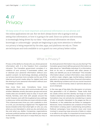# 4 // Privacy

We keep some of our most important and personal information on our phones and the online applications we use. But we don't always know who is going to end up seeing that information, or how it is going to be used. Since our politics and economy is increasingly being driven by our data—that personal information we share, knowingly or unknowingly—people are beginning to pay more attention to whether our privacy is being respected by the sites, apps, and platforms we rely on. There are techniques and tools available to us to guard our own privacy better online.

# What is Privacy?

Privacy is the ability to choose who you share personal information with. It is the freedom from unwanted intrusion. The Canadian government considers it a violation of your privacy if businesses collect, use or disclose your personal information without your explicit consent. As technology develops, protecting our privacy becomes more complex as the use of the Internet and social media allow for digital trails and the sharing of your personal information without your knowledge or consent.

Now more than ever, Canadians have more opportunities to connect and communicate with one another. Websites, emails, discussion groups and social media sites are wonderful ways to stay in touch with friends, families, and chat with people around the world. However, even with the toughest privacy settings in place your online activities are never entirely private. This is because every time you visit a website or click on a link, you are leaving a digital trail. This digital trail leaves breadcrumbs that shed light on who you are, what you are interested in, what you do, and what you like and what you dislike. Companies, organizations and even political parties are then able to gain access to this information and use it in ways that you may or may not like.

So what personal information may you be sharing? The Canadian government defines personal information as data about an "identifiable individual. It is information that on its own or combined with other pieces of data, can identify you as an individual." This includes information about: contact information, race, national or ethnic origin, religion, age, marital status, medical, education or employment history, financial information, DNA, identifying numbers such as your social insurance number, or driver's license, views or opinions about you as an employee.

In the new age of big data, the discussion on privacy has generated a lot of attention. These trails that we create online and the identity we forge on social media is deemed as valuable by organizations. Many Canadians may not actively be considering or aware of who is actually interested in the pages we like on Facebook, or the celebrities we follow on Instagram. Moreover, many Canadians are unaware of how their information is being used in advertising and politics. Political campaigns have become more and more involved in acquiring mass amounts of data on voters in an effort to win votes. It is important to know how this new economy of big data impacts your privacy.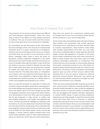# How Does It Impact Our Lives?

The protection of our privacy is becoming more difficult with technological advancements. There are many ways in which it can affect our lives, whether personal or political. The use of social media and the privacy concerns that stem from it are important to highlight.

As Canadians, we are well aware of the information we share willingly online. This may be an impassioned Facebook post, or a super cute picture on Instagram. However, we are not all aware of who owns our content, and what they can do with it once we share it. Every photo, message, video, snap or story we share on Facebook, Twitter, Snapchat, Instagram or any other sharing service is technically owned by the service on which it's posted. Although this doesn't mean that they can share or use your content in literally any way they like, it does mean that they can analyze that content to create new data about you, that they can share however they like. This data about data, or "metadata", can contain a lot more personal information than we might think. This metadata is highly sought after for companies and political parties as it allows them to make more targeted ads directed at you online.

Here is a real-life example. As reported in Forbes, the company Target was able to guess that a teenage girl in the United States was pregnant before her own father knew. Her father went to his local Target furious that his daughter had been sent coupons for baby clothes, and demanded to know why they were encouraging her to get pregnant in high school. In reality, she was already pregnant, and Target had gathered as much. Combining artificial intelligence, statistics, and mountains of consumer data, they knew that the things she was searching for and buying online indicated she was pregnant. Social media tracks our behaviour with a lot of detail for the same reason. Every activity we engage in leaves behind digital breadcrumbs that social media websites collect in order make predictions about our behaviour which they can sell to advertisers. Next time you search for a particular clothing item on Google, look to see if you are being shown ads for similar products on your social media sites.

Social media sites and websites deal with data brokers. Data brokers are companies that collect personal information from individuals and then sell that data to outside organizations. Data brokers make deals with outside organizations that they can use mass amounts of collected data to create specific ads that target certain demographics of people. In the past, social media companies have sold mass amounts of data to data brokers who have then used it to help political campaigns, politicians, or companies. This means that you are knowingly or unknowingly allowing third party companies access to your information to create political advertisements that can influence our democracy. The issue is, many Canadians unknowingly agree to give up some of their privacy without fully knowing how it may be used to shape the national discourse around politics. Moreover, your giving up of online privacy allows companies to target you with specific ads tailored to your interests.

There are some potential benefits of giving up some of your online privacy. Predictive advertising offers some potential health benefits for users. Artificial intelligence has been proven to have the ability to identify users who are struggling with bipolar disorder, depression or mental health issues. If used correctly, predictive advertising can help people in need find services that could save their lives. From a business or political perspective, giving up some of your privacy means that content and information that you are interested in will be catered and sent to you directly. As AI gets better, and you share more content online, organizations can send you more and more relevant content to simplify or streamline your life.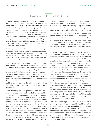# How Does It Impact Politics?

Political parties collect a massive amount of information about voters. They start with our names, addresses, phone numbers, and extend to our social media handles, political leanings, jobs, education, history of participation, and observational data about us like religion, ethnicity or sexuality. They collect this information in a variety of ways. They may collect it from their own canvassing, Elections Canada, or from third-party companies like data brokerages. They are able to do this with or without your consent. They are able to invade your privacy, depending on existing privacy laws and standards.

Political parties collect this data to create campaigns and advertisements that would persuade us to support them, vote for them, donate to them, or even volunteer for them. The data they collect on us gives them the tools they need in order to figure out exactly what they should or shouldn't say to us.

This is where the conversation on privacy becomes very important. Political parties are able to do all of the above with basically no oversight. There have been some developments in protecting Canadians' privacy. A digital charter was created to help protect our online rights. Additionally, the Trudeau government invested over \$500 million in cyber security. Finally, in 2018, Parliament passed the Elections Modernization Act, which did create some new privacy rules on how political parties use our data. However, all of these developments have been heavily criticized as not going far enough.

Most of these policies target businesses exclusively, and leave out rules and regulations for political parties around Canadians' privacy. The Elections Modernization Act now requires political parties to have their own privacy policy and to make it available on their website. However, the responsibility then falls on the voter to go to a party's website to view the information they are collecting about you—which is asking a lot from the average Canadian. There is currently no obligation for Canadian political parties to limit themselves on data collection. Furthermore, if you have a complaint or issue with a political party regarding privacy there is no mechanism in place to force the party to respond or address it. If you wanted to lodge a complaint against a company, you could do so to the Privacy Commissioner. Critics have argued that political parties are unwilling to legislate on this matter, as the collection and use of our personal information is highly valuable for their own self-interest.

Another important factor in how our online privacy impact politics is a discussion on the companies that have emerged to harvest information on us. Data brokerages, which buy and sell our information, also attempt to influence our political decisions. Limitations on our privacy rights allows for the emergence of data brokerages into the political sphere. They now have a tremendous amount of power to influence politics.

An excellent example of this occurred in 2016 when the company Cambridge Analytica gained worldwide attention for their involvement in the U.S. presidential election. They are a British consulting firm that "mines" or collects data on people, and then uses it to make strategic political communication to impact election results. Cambridge Analytica was notoriously involved in a scandal with Facebook. They gained improper access to around 87 million users' personal information, which they used to assist political parties during the 2016 U.S. presidential election. Cambridge Analytica found a loophole in Facebook's privacy policies on data gathering and used it to collect a huge amount of data on unknowing users. Essentially, if your friend took a quiz administered by this company, it gave Cambridge Analytica access to your personal information. To many, this felt like a huge violation of privacy. Cambridge Analytica was able to use this data to create political advertisements for their clients and influence the 2016 presidential election. This scandal created a huge uproar and cause for a re-evaluation on protecting our online privacy.

Firms like Cambridge Analytica can use our data in a variety of ways. It can be used by political parties to reach out to new demographics and increase voter turnout. It can also be used to conduct voter suppression in key battlegrounds and tip the results in favour of one candidate over another. Many Canadians probably never considered how giving up some of their privacy online could be used to shape the minds of thousands of others.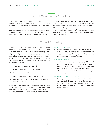# What Can We Do About It?

The Internet has never been more convenient, to connect with friends, shop for products and educate yourself about anything imaginable. However, many people are becoming painfully aware of the need to consider the risks the Internet poses to our privacy. Organizations that collect and use your information have a responsibility to protect it, but there are certain things you can do to protect yourself from the misuse of your information. It is important for you to have your privacy respected in the way that you want. Ultimately, if this is something you are passionate about, you can take action. Below we outline a few things that can help you avoid the risks of sharing your information, while keeping the benefits.

# Threat Modeling

Threat modeling means understanding what information you want to protect and who you want to protect it from and then planning accordingly. You might be alright with your friends seeing your search history but not your mom. So, using private browsing on a device your mom borrows occasionally is a good idea. To practice threat modeling, there are five questions you can try to answer:

- 1) What are you trying to protect?
- 2) Who are you trying to protect it from?
- 3 ) How likely is it to be taken?
- 4 ) How bad are the consequences if you fail?
- 5 ) How much trouble are you willing to go through to keep that information private?

Once you've identified the kinds of information you'd like to protect (i.e. Your impulsive spending habit, your health, your psychological profile, where you live) there are many tools to help you protect your information.

#### PRIVATE BROWSING

› Using Incognito mode or private browsing mode is a good way of limiting the number of cookies used to track you. This may seem like a simple step but it can be quite effective.

#### DO A PHONE AUDIT

Audit the apps on your phone. Many of them will collect a lot of information about your online and offline activities. Go through and remove access to any information that your apps don't absolutely require and decide which apps you can live without.

#### USE ANTI-TRACKING SERVICES

Privacyio.com recommends many different services to help prevent your online behaviour from being tracked. For instance, Duckduckgo. com is a search engine that does not track your search history.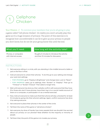# **Cellphone** Chicken

Your Mission // To convince your members that you're all going to play a game called "Cell phone chicken". (In reality you won't actually play this game as it's a huge invasion of privacy). The point of this exercise is to recognize how uncomfortable it can be to give up your privacy to people you don't know, but do not let your group know this until the end.

### What you'll need:

Phones, or computers with Internet access.

## How long will the activity take?

Roughly 5 minutes to introduce the activity and then 10 minutes for discussion.

## INSTRUCTIONS

- 1) Get everyone sitting in a circle, with you standing in the middle (around a table or just on the floor is fine).
- 2 ) Instruct everyone to unlock their phones. To do this go to your setting and change your auto lock settings.
	- › FOR iPHONES, go to "Display & Brightness" and change Auto-Lock to "Never".
	- › FOR ANDROID users, go to settings, then "Screen" or "Display". Then go to "Timeout" or "Screen Timeout". Then select a longer time.
- 3 ) Wait until everyone has done so, then verbally confirm with everyone that they have. (For those who don't have phones, have them log in to a social media account of theirs on a computer, or participate in it as a mental exercise).
- 4 ) Now, instruct everyone to make sure that their phone will stay unlocked for at least 10 minutes by going into their phone's settings. Again, confirm everyone has done it by asking everyone.
- 5 ) Ask everyone to place their phones in the center of the circle.
- 6 ) Tell them the name of this game is "cell phone chicken".
- 7 ) Ask everyone, by show of hands, how many people think we shouldn't be worried about our privacy on our phones? Note whether it's the majority or minority of people.
- 8 ) Tell them that, the point of this game is to invade your privacy.

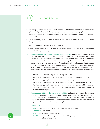# Cellphone Chicken

- 9 ) You will give a countdown from 5 and when you get to 1, they'll each take someone else's phone and go through it. People can go through photos, messages, Internet search histories, contact lists, Facebook accounts, Snapchat accounts. Whatever they like on your device.
- 10 ) Then tell them, when one person freaks out too much and asks for their phone back, the game ends.
- 11 ) Start to count slowly down from 5 but stop at 2.
- 12 ) At this point, some youths will start to panic and question the exercise, there are two ways that the game can go:
- A // **The youth put their phones into the middle willingly** and no one objects or freaks out by the time you get to 2. At this point, you stop the game and tell the players: "Alright so this is when the game stops. We do not actually want you to look at each other's phones. What we wanted was for you to go through the mental exercise of deciding to give away your private information. Now let's talk about what thoughts were in your head when you were going through this exercise?" Then please engage in a conversation about privacy, what they put online, what they allow apps to read and see, why are they uncomfortable or comfortable with corporations reading their private information?
	- › Ask how people are feeling about playing the game.
	- $\rightarrow$  Ask how many people would be nervous about playing the game right now.
	- › Ask how many people would be nervous about playing with their parents.
	- › Ask how many people would be nervous about playing the game with teachers.
	- › Ask how many people would be nervous about playing the game with strangers.
	- $\rightarrow$  Ask how many people know that most of the information on their phone is already available to strangers.
- B // **The youth do NOT put the phone in the middle** and start to question the exercise even before you start to count down. At this point, you engage them in a conversation about privacy, what they put online, what they allow apps to read and see, why are they uncomfortable when another human does it vs a robot? Here are some examples of questions/interactions that might take place:

#### EXAMPLE #1

- › **Youth:** "I don't want people to look at the stuff on my phone."
- › **Facilitator:** "Why not?"
- › **Youth:** "There is private stuff on there!"
- › **Facilitator:** "Then why are you so comfortable giving away the same private information online?"

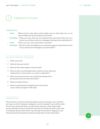

#### EXAMPLE #2

- › **Youth:** "What are the rules about what people can do when they are on my phone? What are the boundaries and limits?"
- › **Facilitator**: "There are none, they can do anything they want when they are on it, look at your photos, read your messages, looking at your banking info."
- › **Youth**: "That's not cool, I don't want them to do that."
- › **Facilitator**: "But why is this any different to you allowing apps to read and look at all of your photos and messages on social media?"

### ALONG THE WAY DISCUSS…

- 1) What is privacy?
- 2) What do they put online?
- 3 ) What do they allow apps to read and see?
- 4 ) Why are they uncomfortable when another human sees and reads what's on their phone vs a robot or algorithm?
- 5 ) What are some ways they can protect themselves from giving away their private information?
- 6 ) What are data brokers?
- 7 ) What is advertisement targeting and how do they use my data to target me with ads?

## VARIATIONS

If the youth do not have cell phones please use the computer room and they can log on to their Facebook, Instagram or email instead), if some of the youth do not have cell phones they can just do the exercise in their head. When using computers to log on, the point is still not to actually let other youth click on anything. We just want them to go through the process of logging on and thinking about the prospects of others seeing their private information.

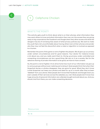

# Cellphone Chicken

## WHAT'S THE POINT?

This activity gets youth to think about what is on their phones, what information they may want others to know and what information they may not, the access they are giving away to big corporations like Facebook and Google when they allow access and what the dangers may be of not being fully aware of what privacy policies say. We want to make the youth feel a bit uncomfortable about having others look at their phones and ponder why they may not feel this discomfort when a robot or algorithm is involved as opposed to a human.

Remember the point of the game is not to frighten the players. We all give up our privacy under certain circumstances and for good reasons. Your doctor for instance knows a lot about you, and you really want them to. Giving up privacy under controlled and consenting circumstances can be a good thing. We rely on it as a society. But for the selective sharing of private information to be good, we have to have consent.

So, the point is not to frighten. It's to drive home how much of our information we give up to various groups without even realizing we're doing it. Most people think that when their Snapchat stories or photos disappear, they are gone for good. What they don't know is that Snapchat can keep your photos and data for up to a month after they've been "deleted" from your phone. Most people don't know that Facebook and Google track you even outside of their services across the websites you visit. Most people don't know how huge amounts of personal information are collected, bought and sold about you. And you should. And from there, you can make consenting decisions.

#### Resources

N / A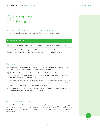# **Security** 2) Breach

Your Mission // Prevent a security breach by working together to protect gaps that make information vulnerable.

## What you'll need:

Before you start you will need an equal number of chairs to the number of participants.

Review safety rules (no diving, no head-first lunges, one person to a chair). This game can be easily played in a classroom, with tripping hazards cleared.

#### INSTRUCTIONS

- 1 ) Have every player bring a chair and arrange them randomly throughout the room with space in between each and have everyone start seated.
- 2 ) The leader chooses a volunteer to be the Security Breach and stand away from their chair so that one chair is left open. The goal of the security breach is to get past security and sit in the empty chair.
- 3 ) All seated players must work together to stop the person in the middle from sitting in the open chair. Someone next to the empty seat tries to beat the Security Breach to it by shuffling over, creating a new empty seat.
- 4 ) The game continues until the person in the middle makes it safely to the open seat. The facilitator then picks someone new to stand.

### ALONG THE WAY DISCUSS…

The importance of protecting your privacy by closing the gaps on threats like sharing your password, not signing out of your account, using the same password for every login, etc. Bring the conversation home with examples of how everyday people including youth can be victim to hacking.

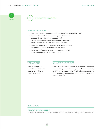

# 2) Security Breach

#### GUIDING QUESTIONS:

- › Have you ever had your account hacked, and if so what did you do?
- › If you had to create a new account, how do you feel about all the old data you lost access to?
- › Do you know the ways that you can make it easier, or harder for hackers to break into your account?
- › Have you shared your passwords with friends, parents or significant others currently or in the past?
- › Have you had access to someone's account and did some snooping they didn't know about?

### VARIATIONS

For a challenge add two volunteers to be the security breaches or play in slow motion.

### WHAT'S THE POINT?

There is no foolproof security system but companies have the responsibility to keep collected confidential/ sensitive information safe. This is a fun group activity that requires everyone to work as a team to avoid a security breach.

#### Resources

#### PRIVACY TIPS FOR TEENS

https://staysafeonline.org/stay-safe-online/managing-your-privacy/privacy-tips-teens/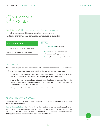# )ctopus 3) Cookies

Your Mission // The Internet is filled with tracking cookies, try not to get tagged. This is an adapted version of the "Octopus Tag Game" that some may have played in gym class.

## What you'll need:

A large open space for a group to run

Something to mark off safe zones

## ROLES

- **The Data Broker** (facilitator) turns people into cookies.
- › **Cookies** stand in place trying to collect data by tagging them.
- › **Data** try to avoid being "collected".

### INSTRUCTIONS

This game is played in a large open space with safe zones at each end and room to run.

- 1) Everyone begins as "Data" on one side of the room known as a safe zone.
- 2 ) When the Data Broker yells "Data Dump", all the pieces of "Data" try to get from one side of the room to the other without being caught by the Data Broker.
- 3 ) If any of the Data are tagged by the Data Broker, they become Cookies. The Cookies stand in place where they were tagged and trying to tag additional data using just their hands and not moving their feet.
- 4 ) The game continues until there are no pieces of Data left.

## ALONG THE WAY DISCUSS…

Define and discuss how data brokerages work and how social media sites track your behaviour across the net.

**Data brokers definition:** (aka information brokers, data providers, and data suppliers) are companies that collect data themselves or buy it from other companies (like a credit card company), crawl the Internet for useful information about users—legally or otherwise and aggregate that information with data from other sources.

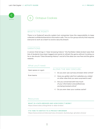

# 3 Octopus Cookies

## WHAT'S THE POINT?

There is no foolproof security system but companies have the responsibility to keep collected confidential/sensitive information safe. This is a fun group activity that requires everyone to work as a team to avoid a security breach.

### VARIATIONS

A version that brings in "clear browsing history": the facilitator (data broker) sees that lots of students have been tagged and wants to refresh the game without it ending, so he or she shouts "Clear Browsing History!" and all of the data are now free and the game restarts.

### What you'll need:

Open space or a gym

Even teams

#### ALONG THE WAY DISCUSS…

- 1) Do you ever use a privacy browser when online?
- 2) Have you gotten ads from websites you visited on other sites that you were surprised to see?
- 3 ) Are you concerned with how much of your information and preferences are being tracked online?
- 4 ) Do you ever clear your cookies cache?

#### Resources

WHAT IS A DATA BROKER AND HOW DOES IT WORK?

https://clearcode.cc/blog/what-is-data-broker/

#### IT'S TIME TO SWITCH TO A PRIVACY BROWSER

https://www.wired.com/story/privacy-browsers-duckduckgo-ghostery-brave/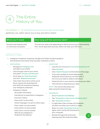# The Entire 4) History of You

Your Mission // To understand just how much data social media platforms can collect about you to buy and sell to others.

## What you'll need:

## How long will the activity take?

Access to the Internet and/ or communal computers.

This will vary quite a bit depending on which service you're downloading from. Some apps take seconds, others can take up to 48 hours.

## INSTRUCTIONS

1) Instagram, Facebook, Snapchat, Google and Twitter all allow people to download the information that has been collected on them.

#### › INSTAGRAM

- Navigate to **Instagram.com** and select your profile.
- Click the gear next to your name and select **"Privacy and Security."**
- Scroll down to **"Data Download"** and click **"Request Download."**
- Then enter the email to which you'd like to receive the download link and verify the request by entering your Instagram password.
- Instagram collects:
	- · My profile information
	- · Everything I've searched on Instagram
	- · Everyone I follow
	- · Every post I've ever liked
	- · Direct messages I've sent to other users
	- · Every video I've ever posted
	- · Every photo I've ever posted
	- · Every story I've ever shared (Stories are Instagram's Snapchat-like feature)

#### **SNAPCHAT**

- Log into your account on **accounts.Snapchat.com**
- Click **'My Data'**.
- Click **'Submit Request'** at the bottom of the page.
- If you have verified an email address with Snapchat, they'll send you an email with a link once your data is ready to download.
- Follow the link in your email to download your data.
- Click the link to download your data.

NOTE: You cannot download your data using the Snapchat app.

#### **FACEBOOK**

- Go to **Facebook.com/settings**
- Tap **"Download a copy of your Facebook data."**
- Tap **"Download Archive."**
- It might take a few minutes, but Facebook will alert you when your archive is ready.
- When it is, click **"Download Archive"**  again, and a zip file will download to your computer.
- Browse through that archive by opening each file inside the folder.

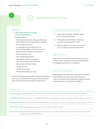previous

# 4) The Entire History of You

#### **GOOGLE**

- Go to **https://takeout.Google. com/settings/takeout**
- Google collects:
	- · Your personal profile: name, gender and birth date, personal cell phone numbers
	- · Your Google searches
	- · A complete map of where you've been at what date and time since you started using Google on your phone
	- · What apps you use
	- · Your advertising profile
	- · Your entire online and search activity across all your devices
	- · Your entire YouTube history
	- · Things you do
	- · Things you create
	- · Things that make you "you"
- 2) Youth will download information about themselves from any or all of these services to find out which ones have the most information about them.

#### ALONG THE WAY DISCUSS…

- 1) Was there anything collected about you that surprised you?
- 2) Where there any things in there you wouldn't want bought or sold?
- 3 ) Will this affect how much information you'll continue to share? Should it?

### VARIATIONS

Given that not all youth have phones, this is an activity that could be done more independently by staggering access to computers.

#### WHAT'S THE POINT?

Most people volunteer their information to these services with so much ease that they don't notice. The reach and scope of the data becomes apparent when you go back through it.

#### Resources

GOOGLE https://techstartups.com/2018/03/30/find-everything-google-knows-download-one-big-file/

FACEBOOK https://www.cnbc.com/2018/03/23/how-to-download-a-copy-of-facebook-data-about-you.html

INSTAGRAM https://www.cnbc.com/2018/04/27/how-to-download-everything-instagram-knows-about-me.html

SNAPCHAT https://support.snapchat.com/en-US/a/download-my-data

WHATSAPP https://www.gadgetsnow.com/how-to/how-to-check-everything-that-whatsapp-knows-aboutyou/articleshow/64048658.cms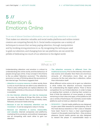# 5 // Attention & Emotions Online

In an era of almost limitless information, we can only pay attention to so much.

That makes our attention valuable, and social media platforms and online content creators are competing fiercely for it. Social media companies use a variety of techniques to ensure that we keep paying attention, through manipulation and by invoking strong emotions in us. By recognizing the techniques used to grab our attention, and changing how we use platforms, we can avoid the pitfalls of dedicating too much of our attention to the digital world.

# What is it?

Understanding attention and emotion is critical to understanding the online world, and the behaviour of people and groups online. A key concept in this theme is the so-called "attention economy". The attention economy is a way of thinking about the economics of the Internet age. This theory suggests that:

- › **Attention is a scarce resource.** In other words, there is only so much that we are able to pay attention to. There is also nothing that can replace attention. So there are hard limits on the amount of attention that is available.
- › **On the Internet, attention can also be measured**, in a way—by looking at things like clicks on links, downloads of material, 'likes' on social media, views, followers, and social media sharing.
- › **Because it can be measured, attention can be monetized**—it can be assigned a value in money.
- › **Because our attention is scarce, measurable, and valuable,** Internet companies and platforms, marketing firms, products, and political messengers are all competing with each other to gain our attention.

› **The attention economy is different from the traditional economy.** Prior to the Internet, information was scarce and valuable. Now there are enormous amounts of information—more than we can consume. So the real value lies in attention, rather than information itself.

What different online actors do to gain our attention is what makes the attention economy important for understanding the digital sphere. There is fierce competition for our limited attention. In order to keep us reading their content, or sharing their content so that it finds the attention of more people, or simply remaining on their sites and apps, online platforms will use a variety of techniques. For example, social media platforms work to hold our attention through:

› REWARDS // Social media platforms are designed to give users little rewards for participating. One of the most obvious rewards is a "like". Likes or retweets have been found to have a clear psychological impact on the people receiving them—they produce pleasure. Social media games are also designed to reward the player in unpredictable ways—a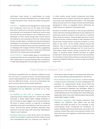technique long known in psychology to cause someone to increase that behaviour (in other words, to play the game more). Those are called "compulsion loops".

- › NUDGES // Platforms are designed to make things the companies want you to do easy, and things they don't want you to do hard. Amazon's one-click purchasing is an example of making an action easy so that we are more likely to do it. Platforms try to dissuade us from doing things that would reduce the attention we're paying to them by making those things complicated or sending strong psychological messages. For example, in the past when users try to de-activate Facebook they would be presented with a message with images of their friends, suggesting those people would miss them. These are sometimes referred to as "persuasive technologies".
- › MONITORING // Social media apps on smartphones recognize when we are using them less, and respond with notifications, sounds, feelings (like a vibration), or little dots designed to encourage us to log back in.

In other words, social media companies and other Internet actors try to attract and hold our attention with more than just interesting information. The examples above are just some of a range of tools and techniques designed to keep us engaged where otherwise we might direct our attention somewhere else.

Emotion is another key factor in why we pay attention online. We have strong tendencies to pay attention to particular kinds of content, and to ignore or overlook other kinds of content. Those tendencies have a lot to do with how the content makes us feel. Research has found that content which produces emotion is more likely to "go viral"—to be widely shared across the Internet. This is true for content that produces both positive and negative feelings, but it's most true for information that invokes strong emotions like awe, anger, or anxiety. News articles focused on highly emotional or divisive topics attract the most comments, for example. Content that produces a strong emotional response related to feeling in control is also more likely to go viral.

# How Does It Impact Our Lives?

The fierce competition for our attention affects how we live our lives in a variety of ways. The techniques that social media platforms use create strong online habits that are difficult to break—so much so that there are real concerns about social media addiction.

Research has identified some of the impacts that the competition for our attention can have on us. They include:

- › **An inability to "turn off" or "unplug"**—to cease checking social media, even for a short period. For example: A study asked 1000 college students in ten countries to stay logged out of social media for 24 hours. In every country, a majority of students admitted that they had failed to last the entire 24 hours. Around the world, students describe their reactions in similar ways, with words like "depressed", "jittery", and "restless".
- › **Constant distraction,** even when we're not actively online. For example: A study found that simply having your smartphone with you reduces your ability to

think about other things you're doing, even when you are not specifically paying attention to the phone.

- › **More limited in-person interactions,** in which making a close human connection is more challenging. For example: An experimental study found that the presence of a mobile phone changes the nature of a conversation between two strangers. When a phone was in the room, people felt less empathy and understanding from the people they were talking to, especially when they were talking about personally meaningful subject matter.
- › **Emotional contagion**—the strong emotions that capture our attention also affect how we feel overall, and what we pass on. For example: A very controversial study conducted by Facebook on nearly 700,000 users found that when users see more positive content they post more positive content, and when they see more negative content they post more negative content.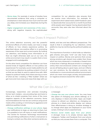- › **Worse sleep.** For example: A series of studies have documented evidence that using a computer or smartphone in bed reduces how much and how well you sleep, and increases your sleepiness during the day.
- › **Higher engagement and awareness of the news** along with negative impacts, the sophisticated

competition for our attention also ensures that we receive more information. For example: An experiment which asked nearly 3,000 Facebook users to deactivate their accounts for a month found that while people were happier having deactivated their accounts, they were also less informed about the news.

# How Does It Impact Politics?

The online attention economy, and the powerful emotional effects of online media, can have a range of effects on how citizens experience politics. As described above, one positive effect is in promoting awareness of the news and current events. By holding our attention, and feeding more information to us than we might otherwise seek out on our own, the online environment may result in a public that is more engaged and knowledgeable.

On the other hand, competition for attention can have several kinds of negative effects on how politics are experienced. For example, social media platforms will try to hold our attention by putting content in front of us that we are likely to want to spend time with. With respect to political media, that means serving us more of what we like—creating a "filter bubble" where we get more and more news and views that align with our beliefs, and less and less different perspectives. The result is that in competing for our attention, online platforms may be reinforcing the political bubbles we live in.

The importance of emotion in what holds our attention, gets shared, and goes "viral" can also have a big impact on politics. Stories and opinions that convey strong emotions get shared more widely than those which are more measured, or moderate, or based more in facts than in feelings. Because emotion is contagious online, that viral emotional content can change how we are all feeling about a given topic, and can inflame our own emotions. So, the attention economy can contribute to a more emotional political environment, which can mean more anger, anxiety, and polarization (or negative emotions toward the 'other side').

# What We Can Do About It?

Increasingly, researchers and activists—including former tech insiders—are providing tips and tools to allow us to shield ourselves from some of the more negative aspects of the attention economy. Some recommendations for how we can continue using social media while avoiding or minimizing its aggressive and addictive qualities include:

› **Change notification settings on your phone:** Apps use notifications to keep us returning to them, but it is possible to turn off many or most notifications. The Centre for Humane Technology recommends only permitting notifications of when a real person is trying to contact you (like when someone sends you a message).

- › **Change the way your phone looks:** You may have the option of changing your phone settings, so it only displays in black-and-white. Apps use bright colours to attract our attention, so changing our phones to a black-and-white display can reduce their effectiveness in doing so. Another strategy is to change what apps are displayed on your home screen, limiting it only to essential tools.
- › **Remove social media apps from your phone:** A stronger move is to simply remove apps like Instagram, Twitter, and Facebook from your phone so that you only access them from a computer. This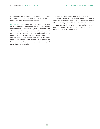can cut down on the constant distraction that comes with carrying a smartphone, and always having immediate access to that information.

› **An app for that:** There are now many apps that exist specifically to help cut down on distraction, break social media addictions, and help us focus on other things. They range from apps that simply tell us how long or how often we have had social media platforms open, to ones that put limits on how often or when we can open certain apps. People use these apps to limit their social media use to particular times of day, so they can focus on other things at other times, for example.

The goal of these tools and practices is to create a counterbalance to the strong efforts by online platforms to capture and hold our attention, and to allow us to pay more attention to our offline lives without necessarily shutting down our ability to benefit individually and as a society from the abundance of information now available to us.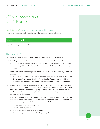

Your Mission // Learn to think for yourself instead of following the crowd of popular but dangerous viral challenges.

## What you'll need:

Paper for writing a script/outline

## INSTRUCTIONS

- 1) Ask the group to be good sports and play an easy round of Simon Says.
- 2) Then begin to add action that are from fun viral video challenges such as
	- › Simon says "water bottle flip" pretend to be flipping a water bottle in the air
	- › Simon says "the ice bucket challenge" pretend to flip a bucket of ice on your head
- 3 ) Then escalate towards dangerous challenges that cannot be actually acted out, such as:
	- › Simon says "Tide Pod Challenge" pretend to eat a tide pod and feeling unwell
	- › Simon says "Mannequin Challenge" pretend to freeze in a silly position
	- › Simon says "Cinnamon Challenge" pretend to eat a spoonful of cinnamon
- 4 ) After a few rounds of this game, have the youth sit down and talk in small groups of 2-3 about the pros and cons of viral video challenges. Have them brainstorm and share the pros and cons that their group came up with. A pro can be that viral video challenges are fun and unite people while a con can be that they are dangerous and can end up hurting people.
- 5 ) Then (if time permits) have the groups do some online research to create a campaign about viral challenge awareness picking one challenge to focus on. Encourage each group to draft a script or outline that covers:
	- A description of the viral challenge
	- › Where/how it originated
	- › What are the side effects/repercussions
	- › Create a slogan for how to decline to participate

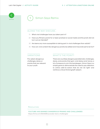

# Simon Says Remix

#### ALONG THE WAY DISCUSS…

- 1) What viral challenges have you taken part in?
- 2 ) Have you filmed a prank for or been pranked on social media and the prank did not turn out as intended?
- 3 ) Are teens any more susceptible to taking part in viral challenges than adults?
- 4 ) How can viral content like dangerous pranks be edited and misconstrued to be fun?

#### VARIATIONS

Pre-select dangerous challenges, dares or pranks that are relevant to your youth.

### WHAT'S THE POINT?

There are countless dangerous/problematic challenges, dares, and pranks that gain viral status and, hence, a lot of pressure to join the bandwagon. Simon Says is a simple game to demonstrate the need to pay attention to online calls-to-action that do not 'sit right' and reinforce critical thinking/self-esteem.

#### Resources

YOUTUBE HAS BANNED DANGEROUS PRANKS AND CHALLENGES https://time.com/5504295/youtube-bans-challenges/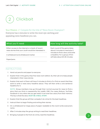# **Clickbait**

Your Mission // Compete for the title of "News Room Champion"! Everyone has 3 minutes to write the most eye catching and appealing news headlines you can.

### What you'll need:

Either access to the Internet or a bank of recent news stories that your youth would be interested in.

A whiteboard and whiteboard marker.

Paper/pens.

### How long will the activity take?

Each round of the game takes about 2 minutes to read plus 3 minutes to find a story and write a headline. For a group of 15 it will take about 20-25 minutes.

## INSTRUCTIONS

- 1) Hand out pencils and paper to everyone.
- 2 ) Explain that in this game, they'll be news room editors. So, their job is to keep people interested in their news stories.
- 3 ) Explain that each of them will have 3 minutes to think of or find an event that they want to write a news story headline about. They will then write a one-sentence headline for it.

NOTE: Group members may go through their normal sources for news to find a story that you think is newsworthy (try reddit, CBC, Fox news, 6ixbuzz, YouTube, Facebook or any other site you get news). It can even be a story from their memory. The key is that the story **MUST BE A REAL STORY.** 

- 4 ) Explain that the group will then compete 3 at a time for the best headlines.
- 5 ) Instruct them to begin finding and writing their stories.
- 6 ) On a whiteboard (or large piece of paper readable to the room) write everyone's name.
- 7 ) After 3 minutes stop the group writing to read their headlines.
- 8 ) Bringing 3 people to the front at a time, read the headlines.

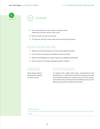

# 2) Clickbait

- 9) Then ask people to vote on their favourite story. (Note they cannot vote for their own).
- 10 ) Play as many rounds as you like.
- 11 ) The person with the most votes by the end wins the game.

### ALONG THE WAY DISCUSS…

- 1) What are the characteristics of the most popular stories?
- 2) How do the most popular headlines make you feel?
- 3 ) What are strategies you used to get your headlines selected?
- 4 ) Do you see any of these strategies used in media?

## VARIATIONS

Write stories about themselves instead of news stories.

## WHAT'S THE POINT?

To explore the reality that news organizations find themselves in. They have to balance writing accurate and enticing headlines in order to survive. You'll unpack and explore the techniques and strategies news room editors use and the pressures they face.

#### Resources

N / A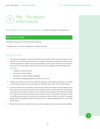# TMI - Too Much 3) Information

Your Mission // Try to share information without being overwhelmed.

## What you'll need:

Suitable for groups of minimum 6 participants.

3 dodge balls or similar in lightness or stuffed animals.

### INSTRUCTIONS

- 1) The group will stand in a circle formation and say their first name one by one. The second round will have the first person say their name, plus one piece of information about themselves called out by the facilitator such as favourite food or last book you read. The next person will say the first person's category and then their own. EXAMPLE
	- › Category: favourite food
	- › 1st person: Potato Salad
	- › 2nd Person: Potato Salad, Spaghetti
	- › 3rd Person: Spaghetti, Butter Chicken, and so on
- 2 ) Finally, do a quick round in the opposite direction with another category, for a total of (3) times so that everyone has become familiar with each other's information.
- 3 ) Choose someone to volunteer to start and say their own answer to the category and then say someone else's answer to the category that is not beside them (if possible) until everyone's answer has been said. Answer in the category that has been called. Do a rapid round of everyone going in the same order of answered. Introduce a ball or stuffed animal and do a one round. Introduce a second ball or soft toy. The game stops when the ball/toy drops. Introduce up to 6 objects depending on how large the group is.
- 4 ) Remind everyone to project their voice and to pass, not throw but pass the ball/toy.

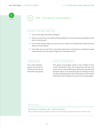

# 3 ) TMI - Too Much Information

#### ALONG THE WAY DISCUSS…

- 1) Do you ever get information fatigue?
- 2 ) Have you ever found yourself confusing details of a story by piecing together small bits of information?
- 3 ) Do you feel anxious when you are not up-to-date on a trending topic that everyone seems to know about?
- 4 ) How often do you put off an important task such as homework or getting enough rest because you have spent longer than intended online?

### VARIATIONS

For a more relaxed game, you can sit on the floor and roll one ball within the group.

### WHAT'S THE POINT?

This game encourages youth to be mindful of how much information they are consuming and how too much can be overwhelming/confusing to process and decipher. Many of us scroll through our timeline a mile a minute, being exposed to bits and pieces of information that seem to be created at an even more rapid speed.

#### Resources

#### EXCESSIVE INTERNET USE - MEDIA SMARTS

http://mediasmarts.ca/digital-media-literacy/digital-issues/excessive-internet-use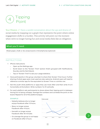# **Tipping**  $\overline{4}$  Point

Your Mission // Have a candid conversation about the ups and downs of social media by mapping out a graph that represents the point where online engagement shifts to a burden. This activity will point out the moment when we're no longer having fun and social media feels like an obligation.

# What you'll need:

Sheet paper, chalk or dry erase board or Smartphones (optional).

#### INSTRUCTIONS

- 1) iPhone instructions:
	- › Open up the Settings app.
	- Scroll down to the "Screen Time" section that's grouped with Notifications, Sounds, and Do Not Disturb.
	- › Tap on "Screen Time" to see your usage statistics.
- 2 ) Have participants in the group volunteer to share their Screen Time hours. Further sharing of what apps were most used are also welcome. Android users will need to reference a similar app for the equivalent to Screen Time or a similar one.
- 3 ) Ask the youth what platforms or apps they use most often and then write 4 to 6 horizontally at the bottom. Write numbers 1 to 10 vertically.
- 4 ) For each platform ask participants to share where their tipping point is between having fun to being unhappy. Average the numbers and correlate the point on the board. Repeat for all of the platforms/apps.

#### EXAMPLE

- › Natasha believes she no longer enjoys Facebook after 1.5 hours.
- › Stacy no longer enjoys Facebook after 4 hours.
- › Kenneth no longer enjoys Facebook after 30 minutes.
- › On average the group is not happy on Facebook after 2 hours.



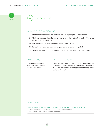

# 4) Tipping Point

#### ALONG THE WAY DISCUSS…

- 1) What are the signs that you know you are not enjoying using a platform?
- 2 ) What are your social media habits—generally, when is the first and last time you use social media each day?
- 3 ) How important are likes, comments, shares, saves to you?
- 4 ) Do you have a business account for your personal page, if yes, why?
- 5 ) What do you think about the number of likes being removed from Instagram?

#### VARIATIONS

Take out Screen Time exercise if participants do not have phones.

#### WHAT'S THE POINT?

Time flies when you're online but rarely do we consider how our mood and productivity changes. This activity will help put a number to the tipping point to help foster better online wellness.

#### Resources

#### THE MOBILE APPS WE USE THE MOST MAY BE MAKING US UNHAPPY

https://www.weforum.org/agenda/2018/04/do-the-mobileapps-we-use-the-most-make-us-unhappy/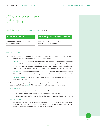# Screen Time Tetris

Your Mission // Form the perfect team to win!

## What you'll need:

Phones or computers to access social media accounts.

# How long will the activity take?

For a group size of 15 this activity will take about 25 minutes.

## INSTRUCTIONS

- 1 ) Players begin by reviewing their usage times for various social media services (Facebook, Instagram, Snapchat, etc.) on their phones.
	- › IPHONES: Head to your Settings, then click on Battery. A list of apps will appear below with their respective percentages of battery usage for the last 24 hours or seven days. In the upper right hand corner, you'll find a clock icon. Click on that, and the time you spend using the apps will be added beneath their names.
	- › ANDROID: Log on to Facebook on your phone. Click on "Settings and Privacy" Click on More > Settings and Privacy, then scroll down to Your Time on Facebook.
	- › INSTAGRAM: Go to Your Account > More > Settings > Your Activity, and you'll see the equivalent.
- 2 ) They then team up with other players trying to find a combination of screen times adding up to 1 hour **exactly**. The team that gets the closest to 1 hour wins.

#### EXAMPLE #1

- › If I was on Instagram for 34 mins today, I could look for:
	- Someone who was on Snapchat/Facebook/etc. for 26 mins.
	- One person on YouTube for 12 mins and another person on Reddit for 14 mins.

#### EXAMPLE #2

› Two people already have 48 minutes collectively. I can review my use times and see that I've spent 24 minutes on Instagram, and 14 mins on Facebook. I would team up with my Facebook time to put us at 62 mins.

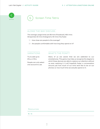

# 5 Screen Time Tetris

#### ALONG THE WAY DISCUSS…

The average usage times are 58 mins (Facebook), 49.5 mins (Snapchat), 53 mins (Instagram), 40 mins (YouTube).

- 1) How close are people to the average?
- 2) Are people comfortable with how long they spend on it?

### VARIATIONS

Try to add up to 2hrs, or 3hrs.

People can only select one account to use.

### WHAT'S THE POINT?

Many of us are aware that we are addicted to our smartphones. This game may help us recognize the degree to which these devices are able to capture our attention without us even realizing it. It will hopefully foster a conversation around just how much of our time we'd like to be on our phones vs. how much time we actually spend on it.

#### Resources

N / A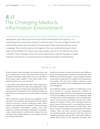# 6 // The Changing Media & Information Environment

Traditionally, mainstream media employing professional journalists (like television, newspapers, and radio) was the source of most information and opinion—on everything from restaurant reviews to political views. The rise of digital media has reduced the power and centrality of mainstream media, and allowed new voices to emerge. This is both positive and negative; the new media landscape is more open and accessible, but there is also less quality control in the information that is shared. These changes in how we access information require changes in media practices, and also for us to become more careful consumers of information.

# What is it?

Online reviews have changed how people shop and go to restaurants. Some influencers take money to provide favourable reviews. But can you trust them? What about news outlets? If they take money from advertisements, can you trust them?

In the past, most people got their news solely from traditional media like TV, radio, and newspapers. Today, many other types of media exist alongside them and have gained in popularity, but traditional media are still the source Canadians turn to most often for quality news.

With traditional media, stories are assigned to and reported on by professional journalists who have direct access to primary sources: politicians, public office holders, and celebrities, for example. These journalists have completed specialized studies and must adhere to certain journalistic standards, including a code of ethics and a commitment to share fair and accurate news. Media outlets are also subject to these journalistic standards.

Traditional sources of news are facing a very different media landscape today. Incomes from advertising—the lifeblood of traditional media—have plunged, and paid subscriptions, especially for smaller local newspapers, have fallen. This has led to drastic cutbacks in the number of journalists. Some newspapers have closed shop altogether.

As traditional media compete for advertising, some have turned to running "sponsored content" or "advertorials," where money is exchanged for producing content favourable to the sponsors. As newspaper staff numbers shrink, remaining papers have increased their use of wire services, purchasing stories from other papers to fill gaps in their news coverage. There are fewer "boots on the ground"—journalists free to go in the field to gather local stories or verify facts—and less money for newspapers to experiment with online models. There are also concerns that newspapers are decreasing their reporting of hard news and are instead providing more Op-Eds. Hard news refers to stories which focus on the reporting of events, with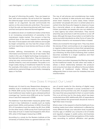the goal of informing the public. They are based on fact, with some analysis. Op-ed is short for "opposite the editorial page" and are intended to persuade the reader on an argument. Op-eds communicate the opinion on the columnists who write them. The concern is that Op-eds are becoming blurred with hard news, and fact and opinion become blurred together.

An additional strain on traditional media is that there is an increasing concentration of ownership in the mainstream media market. The concern is that the political bias of the owner impacts the reporting of the news. If local papers and radio stations are bought by larger companies, we may lose the unique voices we have reporting on local stories and focus on other matters.

Another defining characteristic of the changing information environment is the rise of new media. New media is the use of digital technology (computers or the Internet) to share information. They are interactive, using two-way communication. Stories can be easily shared, linked to, viral, and accessed. The public is no longer solely relying on traditional media for its news. For example, information can come from online-only publications, personal blogs, social media, messaging apps, or YouTube.

The rise of cell phones and smartphones has made it easy for anybody to take pictures and videos and share them instantly. In some cases, these "citizen journalists" are people who are in a certain place at a certain time, like those who happen to observe a house fire, a terrorist attack, or an altercation with police. Citizen journalists are people who are not related to a news agency but share information. They record what they see and share it with the world on a one-off basis. Although this type of journalism is not held to the same journalist standards as other forms of news, the information shared is not necessarily false or biased.

Others are involved for the longer term. They may share the stories of their communities on an ongoing basis, or regularly attend events to share their perspectives. Over time, these ongoing citizen journalists can build up a following. As they build a following, their content becomes available to a larger audience and their impact on news sharing grows.

Such citizen journalism bypasses the filtering imposed by the traditional media. As with other new media, it allows a direct relationship between the producer and consumer but does not adhere to the journalistic standards of traditional media. Without these safeguards, there is more room for mistakes, bias and misinformation.

### How Does It Impact Our Lives?

Simply put, it's hard to say. Researchers disagree on whether trust in traditional media is rising or falling. An IPSOS 2019 survey found that 72% of Canadians trust traditional news media to give unbiased political coverage (up 7 points since 2018 and up by 3 points since it was first measured in 2008).

The Edelman Trust Barometer measures global rates of trust in key institutions in society such as media, government, NGOs, and business. In 2019, it found that 57% of Canadians trust the media (up 8% from 2018). On the other hand, a 2019 survey from CanTrust found that rates of trust in media had dropped to 40% (from 54%, when it first began measuring in 2016).

According to a study by the Reuters Institute at the University of Oxford, there is a general distrust in the

use of social media for the sharing of digital news. The 2018 report analyzed a survey conducted in 37 countries and found that only 23% of people trusted the news that was presented to them on social media. This is an all-time low for the study, which has been conducted since 2012. Additionally, 63% of respondents in Europe believe the government should do more to fight fake news in Europe.

What is clear in the research is that the likelihood of you trusting media (and other institutions) is affected by many different things: your education level, household income, age, or whether you consume a lot of media and regularly engage in public policy and business news. It has been found that perceptions of the media vary according to political affiliation and gender,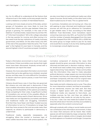too. So it's difficult to understand all the factors that influence trust in the media, as the way people view the world is related to a number of interrelated factors.

Looking a bit more closely at some of the data, certain groups of Canadians are more likely to trust the media than others, and the gap between these two groups is growing. For example, in the case of the Edelman Trust Barometer, researchers found that 74% of "informed Canadians" (25 to 64, college-educated, in the top-quarter for income, and often tuning in to the news) trust the key institutions of media, business, government, and NGOs. On the other hand, only 54% of the rest of the population feels the same. This "trust gap" is the highest it's ever been in Canada, and the second highest in the 27 countries surveyed. Canadians

are also more likely to trust traditional media over other types of sources. Social media, on the other hand, is the least-trusted source of news. This is a global trend.

In summary, Canadians are not tuning out—they are still seeking to stay informed and traditional media sources are still the go-to reference for Canadians to get reliable news. In fact, according to the latest Edelman Trust Barometer, more Canadians report consuming news every day (42%, up 11 points from 2018) and the number of people disengaged from the news has also dropped (from 54% in 2018 to 33% in 2019). But the same group no longer wants to pay for its news, and would like to access it at any time, leading people to increasingly consult digital sources.

### How Does It Impact Politics?

Today's information environment is much more open and diverse. Citizen journalists cover stories that might never have been discovered. Anybody armed with a smartphone can report the news!

However, the more saturated information environment means that we're also getting more clickbait, recycled stories, and fake news. It's more difficult for Canadians to discern ads from opinion pieces, or even from hard news stories.

Citizens should have a say in how they are governed. But citizens can only take part in democracy if they have credible information about what the government is doing, and the feasibility of the options provided by those competing for their votes. A significant number of Canadians are worried of the possible effects of disinformation being used to thwart democracy. Since new media are not regulated by journalistic standards, and traditional media are struggling, Canadians find that they have fewer and fewer trusted sources of information to turn to. If Canadians no longer feel that they have access to fair and accurate news, their capacity as citizens to participate in democracy is undermined.

Traditional media, especially newspapers, are struggling. When the market or business logic of news outlets becomes their sole preoccupation, the normative component of sharing the news—that people should be given accurate information to stay informed and take part in decision-making—takes a hit. Small local news outlets close, resulting in certain regions becoming "news deserts." These communities lack the information they need to make educated political decisions. Larger papers are now dominating the market, but they are increasingly owned by fewer and fewer companies, with less room for original news coverage. Most are unable to cover very local news.

New media are both a blessing and a curse. They allow for more interactive content, and they're accessible as we mentioned, anyone can take part. But they occupy a digital space with very little oversight. Traditional media are required to fact-check, use multiple sources, be fair, and they are edited by professionals. New media do not play by the same or by any—rules. Can new media be trusted? Do they show the whole story? And who are they accountable to, especially when the content is anonymous?

Although anybody with a blog or social media account can contribute to the information environment, it does not mean that everyone will be heard. New media spaces are still dominated by large companies. What the public gets to debate online is largely dominated by what appears on Facebook and Google. Companies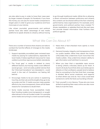are also able to pay in order to have their news seen by larger masses of people. On Facebook, if you have the money, you can pay for social media companies to target users in order to grow your audience and have more eyes on your stories.

Like citizen journalist, governments and political parties have also taken advantage of new media platforms to speak directly to citizens, without having to go through traditional media. While this is allowing a direct connection between politicians and citizens, this content can be shared without the fact-checking performed by news organizations. For example, some governments and political parties have created TV shows, newsletters, or websites that look like real news but provide biased information that furthers their political agenda.

### What We Can Do About It?

There are a number of actions that citizens can take to combat the harmful effects of changes to the media landscape:

- 1) Support reputable, accredited, peer-reviewed news media by paying for subscriptions, especially for local media. It takes significant resources for news outlets to prioritize rigorous journalistic standards.
- 2) The "trust gap" in media is related to many different factors, but having media cover different social groups—and not solely publish stories that the "informed Canadians" are interested in—could result in the rest of Canadians not feeling left behind.
- 3 ) Encourage media to be pro-active in explaining how they do their job and the lengths they go to be accurate and fair. If media sources make greater efforts to be more transparent, there will be fewer reasons for Canadians to doubt them.
- 4 ) Some media sources have successfully made their funding models more transparent, or sought alternatives to the ad-funded model. For example, some media are turning to crowd-sourced funding.
- 5 ) News that is fact-checked more openly is more trustworthy.
- 6 ) Demand honesty, integrity and transparency from our public leaders. When they attack the media, unfounded, they undermine much more than the media outlets—they undermine citizens' ability to get information and hold them to account.
- 7 ) When you hear that a reputable news source is being unfairly criticized, stand up for them. A recent US study found that when journalists ignore attacks on their profession, people tend to believe they're conceding to the fact that their coverage is slanted. We're social creatures, and respond to what others say and do. Your voice could lead someone to verify the facts surrounding criticism.
- 8) Train yourself in civic literacy. Those who are more skilled at spotting fake news online are also more likely to trust the news.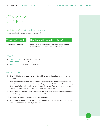

Your Mission // Convince others that you're telling the truth (even when you're not).

### What you'll need:

### How long will the activity take?

Access to the Internet.

For a group of 15 this activity will take approximately 10 mins (with additional 3 per additional round).

### ROLES

- FACILITATO a BGCC staff member
- › REPORTER one volunteer
- › PUBLIC the rest of the group

- 1) The Facilitator provides the Reporter with a weird stock image to review for 5 seconds.
- 2 ) The Reporter and the Facilitator play rock, paper, scissors. If the Reporter wins, they have to report the truth about the image they saw to the Public. If the Reporter loses, they have to lie and invent a photo to describe to the Public. In either case, they must try to convince the Public that they are telling the truth.
- 3 ) Three members of the Public (selected by the Facilitator) can then ask the reporter one follow-up question to catch the reporter if they're lying.
- 4 ) The Public records their guess on a piece of paper.
- 5 ) Every correct guess earns a point. After everyone's had a turn as the Reporter, the person with the most correct guesses wins.

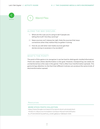

### Weird Flex

### ALONG THE WAY DISCUSS…

- 1) What are the cues you're using to tell if people are telling the truth? Are they working?
- 2) News sources can't always be right. Note the sources that issue corrections when they realize they've gotten it wrong.
- 3 ) How do you tell when real media sources get their stories wrong on purpose or by accident?

### WHAT'S THE POINT?

The point of this game is to recognize it can be hard to distinguish mis/dis/information. There are cases where disinformation is the goal. However, misreporting can easily be unintentional (as is the case in this game). That is often how misinformation spreads. This game brings attention to the fact that different motives can produce the same kinds of dis/misinformation spread.

### Resources

#### WEIRD STOCK PHOTO COLLECTION

https://www.Google.com/search?q=weird+stock+photos&client =firefox-b-d&source=lnms&tbm=isch&sa=X&ved=0ahUKEwj4u-XLvfTiAhVIXK0KHaL6APwQ\_AUIECgB&biw=1280&bih=645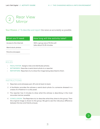## Rear View  $2)$  Mirror

Your Mission // To describe and report the news as accurately as possible.

How long will the activity take?

With a group size of 15 this will take about 10-25 minutes.

### What you'll need:

Access to the Internet.

Weird stock photos.

Pencils and paper.

### ROLES

- › FACILITATOR: Assigns roles and distributes photos.
- › WITNESSES: Describe a weird stock photo to a reporter.
- › REPORTERS: Reporters try to draw the image being described to them.

- 1) Reporters and witnesses pair off, and sit back to back.
- 2 ) A facilitator provides the witness a weird stock photo (i.e. someone dressed in a onesie of a Pokémon in a silly pose).
- 3 ) The reporter has 3 minutes to draw what the witness is describing in the most accurate manner possible
- 4) CONCLUSION: The Reporters try to describe what they drew to the group. Then the original image is shown to the group. We get to see the ridiculous difference between the two and hilarity ensues.

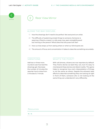

### 2 **Rear View Mirror**

#### ALONG THE WAY DISCUSS…

- 1) How the drawings don't need to be perfect. Not everyone's an artist.
- 2) The difficulty of explaining simple things to someone. Someone is wearing a Pikachu onesie in a silly pose may seem straightforward but how big is the person? What does that silly pose look like?
- 3 ) How our bias stops us from seeing where or what our blind spots are.
- 4 ) The amount of focus and concentration it takes to describe something accurately.

### VARIATIONS

Add two or three more rounds to see how bad the drawings get. Decrease the number of minutes the reporter has to draw from 3 minutes to 1 minute.

### WHAT'S THE POINT?

With cell phones, citizens are now reporters by default. They frame stories as best they can, but it's easy to misinterpret these stories and distort reality. This game helps to recognize how one's interpretation of things is not the same as others. Despite the witness's best efforts to describe something they are looking at right in front of them, someone who is not looking at the same thing can understand it very differently.

#### Resources

N / A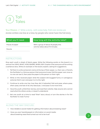

Your Mission // Write a story… with some help. Fold over stories are stories written one line at a time, by people who never have the full story.

### What you'll need:

How long will the activity take?

Pieces of paper

Pencils

With a group of about 15 people, this activity takes about 10 minutes.

### INSTRUCTIONS

Give each youth a sheet of blank paper. Write the following words on the board in a vertical line: WHO, WHAT, HOW, WHERE, WHEN, WHY. Explain that everyone will be writing a sentence story. Write an example on the board, explain, asking for suggestions.

- 1) Tell them to write someone's name at the top of their paper, i.e., their own, a friend's, the facilitator's, a famous person that everyone knows; fold the paper over once so no one can see it, then pass the paper to the person on their right.
- 2) Write on the received paper what the subject did (suggest funny or outrageous actions), fold it over and pass it on to the right.
- 3 ) Continue to write one line, how they did it (adverbs), fold and pass; where-pass; when-pass; and last of all, why (because...) and pass it one more time.
- 4 ) Have the youth unfold their stories, and read them silently. Help anyone who cannot read what the others wrote, or doesn't understand.
- 5 ) Ask one youth at a time to read "their" story aloud, or turn the stories in for the facilitator to read. Funny!

### ALONG THE WAY DISCUSS…

- 1) How reliable is social media for getting information about breaking news?
- 2) Have you ever heard/passed on information on social media about breaking news that turned out not to be true?

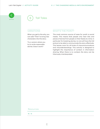

3 ) Tall Tales

### VARIATIONS

When you get to the why, you can add "Then" to bring new characters into the story.

Try a version where you try to write reasonable stories. Does it work?

### WHAT'S THE POINT?

The most common source of news for youth is social media. This means that people only hear bits and pieces of stories from people on their feeds at a time. In particular for breaking stories, no one will have the full picture to be able to communicate the story effectively. This leaves room for all kinds of miscommunications and misunderstandings. This activity is designed to highlight the importance of context in information sharing. When there is no context, the story can be hilariously misinterpreted.

### Resources

N / A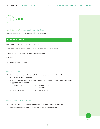

Your Mission // Create a collaborative Zine that reflects the vast interests of your group.

### What you'll need:

Surface(s) that you can use art supplies on.

Art supplies: paint, pastels, non-permanent markers, and/or crayons.

Diverse magazines (sourced from local thrift store).

Scissors

Glue or tape, Pens or pencils

### INSTRUCTIONS

- 1 ) Ask each person to pick a topic to focus on and provide 30-45 minutes for them to create one to two zine pages.
- 2) By the end of the session everyone combines their pages for one complete club Zine. Suggested topics include:
	- › Community
- › Human Rights
- › Environment
- › Wellness
- › Youth Activism
- › Digital World

### ALONG THE WAY DISCUSS…

- 1) How you piece together different perspectives and styles into one Zine.
- 2) Have the groups provide input into the layout/order of the zine.

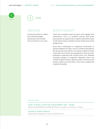

4 ) 7INF

### VARIATIONS

If resources allow it, collect the individual pages, photocopy and compile into one Zine for your club.

### WHAT'S THE POINT?

There are countless ways we learn and engage with information. This is a youthful activity that gives participants an opportunity to explore alternative ways to talk about topics outside of social media and school assignments.

Much like a newspaper or magazine, information is pieced together by topic. From a creative standpoint, the group will have plenty of creative outlets to share information from their own perspective. Zines are selfpublished materials with limited print runs. Besides creating collages of magazine clippings, Zines can include original artwork, games, poems, articles, short stories, and/or journal entries—the more curated and creative the better.

### Resources

### HOW TO MAKE A ZINE FOR THE INTERNET AGE - FADER

https://www.thefader.com/2015/10/27/how-to-make-a-zine-born-n-bread

#### EXAMPLE: BORN N BREAD

https://www.instagram.com/bornnbread/?hl=en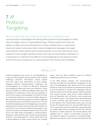# 7 // Political Targeting

Recent decades have seen a dramatic advancement in information and

communication technologies that allow political parties and campaigns to refine data and target voters in unprecedented ways. Political parties now have the ability to collect personal information on voters, analyze them to understand what each person cares about then create strategies and messages that target them directly. These abilities allow political parties to use their data-driven voter research to microtarget individual voters who they are most likely to influence. It is important to understand the effects of microtargeting on how politics is done, and on how we as citizens are in communication with parties and candidates.

### What is it?

Political targeting, also known as microtargeting, is a type of personalized communication that involves collecting personal information about people and then using that information to show people targeted political advertisements. Politicians use microtargeting as a means of efficiency, believing that targeting makes their ads more effective. These ads are created in an effort to address issues that are important to individuals. These ads are adapted in their format, layout, and language in an effort to meet an individual's interest to a maximum effect. Research demonstrates that those exposed to political targeting and advertising are more likely to act upon it. The use of political targeting and microtargeting can be both a blessing and a curse to democracies like Canada. On one hand, it can enhance political participation and voter turnout by encouraging people to go to the polls, and it can help share knowledge on political topics. However, it also presents risks. A party could advertise itself as a one-issue party for voters, when they have a whole platform of other issues, which can mislead

voters. And the data collection used for political targeting presents privacy concerns.

In the 2018 Ontario election, the Conservatives, Liberals and NDP all had different strategies for the use of microtargeting. CBC News and the non-profit American news site ProPublica partnered during the provincial election to monitor the messages used by political parties and interest groups. Political parties and interest groups used social media platforms such as Facebook and YouTube to micro-target ads at potential voters. They based their advertisements on users' interests, age, and location. In the lead-up to the election, the Conservative party was running 23 ads, the Liberals had nine, and the NDP had none. The Conservative party focused their advertisements on middle-aged men and people over 65. The Liberals focused on a wider spectrum. The Conservatives used targeted ads in certain communities, focusing on very specific issues. For example, in a Scarbourough-Agincourt by-election, they ran ads claiming that the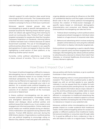Liberal's support for safe injection sites would bring more drugs to that community. The Conservative party knew that this was a wedge issue and, in this instance, created a campaign to focus on that issue in particular.

Moreover, special interest groups also use microtargeting to speak to specific demographics. An example would be the "Working Ontario Women" group, which ran attack ads against Doug Ford claiming he would cut nursing jobs. Also, "Ontario Proud" created targeted campaigns for people who liked the Canadian Taxpayers Federation on Facebook, claiming billions of dollars had been lost in Ontario because of Liberal Government scandals. The use of microtargeting by political parties allows them to speak to very specific demographics of voters and appeal to them by either highlighting a small section of their platform, or by attacking another party's record.

Currently, online political advertising is receiving a heavy amount of scrutiny. This is a result of the

ongoing debate surrounding its influence on the 2016 U.S. presidential election and the hugely controversial Brexit vote in the U.K. Online political microtargeting involves the creation of finely-tuned messages on specific topics based on individuals' demographic characteristics and consumer and lifestyle habits. Online political microtargeting can take two forms.

- 1) Political direct marketing in which political actors target personalized messages to individual voters based on a huge amount of acquired voter data.
- 2) Behavioural advertising which involves analyzing people's online behaviour and using the collected information to display individually targeted ads.

Online political microtargeting is used to identify likely voters for a specific party and then targeted them with messages. Microtargeting also allows political parties to advertise policy stances to citizens that match their interests, i.e. Universal Healthcare, Environment, Gun Control, Women's rights etc.

### How Does It Impact Our Lives?

The impact of political targeting is difficult to measure. Microtargeting has an individual impact on people's lives and a collective impact on our society. From an individual perspective, the ads you view on social media may be filtered and organized in an attempt to shape your policy views or persuade your vote in an election. On a societal scale, political targeting can be used to impact society enough to determine the outcome of an election—whether at the municipal, provincial or federal level.

In theory, political microtargeting can be used to increase political participation, knowledge transfer, and strengthen democracy. It can create online debate and dialogue about political parties and political issues that matter to you. It can create a more engaged and informed population. Online media and social media can mobilize people during an election. Online mobilization was apparent during Obama's 2012 election, Trump's 2016 election and even during the 2018 Ontario election. Organizations or political parties can use political targeting to encourage voting on Election Day, attend a meet and greet with politicians,

discuss politics with family members, or go to a political fundraiser in their community.

Political targeting online is more personalized for the recipient. This means that a political party is able to target you with an ad that speaks to your specific interests. It can be argued that this is better for both you and the political party sending the ad. You are able to quickly absorb information about a topic relevant in your life, and the political party is better able to reach a potential voter. Political targeting online is more efficient in comparison to traditional advertising like television, in which ads are created to speak to a broad audience, therefore increasing the risk of the ad having no relevance or impact on your potential vote.

Moreover, political online microtargeting can have a greater impact on a wider audience than traditional media. Online political targeting allows for access to a greater or different audience than traditional media. Not everyone watches or consumes news through cable T.V. It would be difficult to find a millennial or Gen X who still listens to radio on a regular basis. Therefore,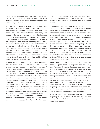online political targeting allows political parties to cast a wider net and affect a greater audience. Therefore, it could increase voter turnout for demographics who traditionally don't vote.

An example: Shruti is an 18-year-old first time voter. A provincial election is approaching. She is a first generation Canadian and her parents rarely talk about politics at home. Her civics teacher commonly falls asleep in class, and seems as uninspired to teach as Shruti is to do her homework on Friday nights. Shruti rarely watches T.V. and mostly engages with her friends on Instagram. Shruti plans on attending the University of British Columbia in the fall and her and her parents are concerned about paying tuition. She has been reading about student debt online. One night, Shruti sees an ad from a political party promising to address student debt and lower tuition. She looks for more information about the party and decides to perhaps vote for them. The advertising worked, and Shruti has become a more engaged citizen.

Political targeting presents a significant amount of possible threats for Canadian citizens. Primarily, your privacy can be invaded, manipulated or ignored. A major privacy threat involves the potential breach of personal data. Data breaches occur when hackers or other individuals access databases with personal data and release that information to the public. Data breaches have become a common topic in the news. A recent example occurred in 2017 when a marketing company contracted by the U.S. Republican Party had a data breach. The personal data collected on almost 200 million U.S. citizens was breached. Personal information was exposed, as well as suspected religious affiliations, ethnicities and political stances on topics like abortion and gun control. This information can then be used by other companies, individuals, and political parties to target citizens. In 2000 the federal government introduced the Personal Information Protection and Electronic Documents Act, which requires Canadian companies to follow mandatory rules with respect to how personal data is collected, stored, and used.

Beyond privacy threats, there is also the potential for the political manipulation of voters. Political parties could target particular voters with advertising or information that maximizes or minimizes voter engagement. A party could target xenophobic voters with misleading information about immigrants. Therefore, parties can increase political polarization between groups of people through the use of misinformation in their political targeting. Donald Trump's campaign in 2016 targeted African-American voters with ads about Hillary Clinton's earlier remarks calling African American males 'super predators.' The idea was to suppress the black vote. Microtargeting typically targets voters on one issue of importance to them. This presents parties as one issue parties, obscuring the priorities of that party.

Finally, political microtargeting could be used by parties to ignore certain voter groups or focus on very specific groups. If a campaign does not expect certain groups of people to be supportive of their party, they will not inform those groups about the election. This in turn leads to lower voter turnouts among certain demographics and a weakened and less representative democracy. For example, voter turnout for youth (18- 25 year olds) has historically been low so it is not surprising to see politicians focus less attention on youth and advertise to them less. This sort of political targeting isolated many Ontarians during the 2018 provincial election, resulting in many people probably having very little contact with these campaigns.

The main threats for Canadians from online political targeting is an invasion of privacy, the possible manipulation of their data and the exclusion of them by political parties.

86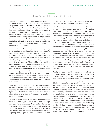### How Does It Impact Politics?

The advancement of technology and the emergence of social media have created big opportunities for political parties interested in using political microtargeting. Political microtargeting is cheaper than traditional advertising, more efficient in reaching an audience and also more effective in impacting voters. Political communication is becoming more reliant on incorporating social media to target voters, donors, volunteers and track engagement. Using social media has allowed for the emergence of smaller or more fringe parties to reach a wider audience and engage with more people.

In comparison with running television ads, using social media allows political parties to reach specific voter groups more effectively. Television ads reach a large audience at once, but the messaging has to be general. A political party could use political microtargeting to reach out to voters they know to be supportive to their party. They could also use political microtargeting to reach out to individuals in key swing ridings across the province or country. A party could also use political targeting on social media to reach out to a demographic of voters who have been ignored through traditional advertising or have not been formally engaged in politics. Theoretically, a political party could target first-time voters, or 18-year-olds in Canada to try and educate them about their party and their campaign.

There are many possible negative consequences for how political targeting impacts politics. Political targeting can be expensive to do properly and safely, it gives opportunities and increased power to political intermediaries and does not engage the public in meaningful debate.

To have a huge reach in an online microtargeting political campaign, you have to be able to buy large data sets from companies. These data sets can be very costly, and what ends up happening is only larger parties with large amounts of money can afford them. This means that the larger, more effective political targeting campaigns are more accessible by the

parties already in power, or the parties with a lot of cash. This is a disadvantage for smaller parties.

Microtargeting can also make intermediaries, or the companies that own your personal information, more powerful. Essentially, companies that own an incredible amount of data, whether it be Facebook, or Cambridge Analytica now become important actors in connecting political parties to Canadian citizens. As a result, a new industry has emerged filled with pollsters, digital strategists, social media experts and big data consultancies. These companies are hired to design and test political messages and make sure those messages end up on the right people's computer screens. The entry of these intermediary companies allows for a new gatekeeper to the public, with a tremendous amount of power to influence our democracy. The largest intermediaries, such as Facebook and Twitter, have billions of users giving them huge power to set prices, and influence the political parties with which they work. They can choose who they work with and who they don't, allowing room for bias.

Finally, the use of political targeting can affect the public by shaping a false image of a political party or campaign. If a citizen is receiving political ads about promises of job creation from a political party, they may not be aware of the larger party platform. If individuals are targeted specifically based on their interests or identity, they may only be shown the values and platforms that they support with that party. Political targeting does not allow for an extensive overview of a party or politician, and attempts to turn the public into one or two issue voters. It can also be used to slander a politician and gives rise to a new 'attack ad.' Political targeting allowed for the NDP in Alberta to label Jason Kenny as anti-LGBT, it was used to label Hillary Clinton as racist, and it was used during the Barack Obama birther scandal. Political targeting can be used to transform the debate away from policy to a focus on the individual and their character traits. Some of which may be true, or misrepresented.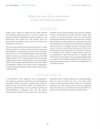### What can we do to overcome some of these problems?

### CREATING LAWS

Public policy seems to always be two steps behind technological advancements. It is hard to keep up! However, political targeting has been present in our democracy and others for long enough that our government has taken action and must continue to find ways to protect us.

The first responsibility the government has is to create laws to protect our privacy. Data protection laws puts responsibility on companies to protect the information they have on us. The Canadian government has taken steps to ensure our privacy leading up to the 2019 federal election. The Trudeau government has enacted a \$508 million dollar national cyber security strategy. Within this strategy, businesses that own information on Canadian citizens must follow a set of regulations in protecting and disclosing information if ever there is a data breach.

However, critics of this strategy, such as the Canadian Privacy Commissioner, Daniel Therrien, argue that it does not go far enough. There are not enough resources for enforcement and companies don't have a clear timeline to follow. Moreover, critics point out that this strategy does nothing to put pressure on political parties to take Canadians' privacy seriously. There are no limits on how political parties can collect and distribute political information on Canadian citizens. If a political party suffers a data breach, there are no guidelines or laws forcing them to disclose that information to the public. Privacy experts believe that we need to create stricter guidelines for business, and especially political parties in terms of handling data on Canadian citizens.

### EDUCATING OURSELVES

In combination with requiring more transparency from political parties on how they are microtargeting Canadian citizens, the public needs to take action in ensuring their own privacy safety. This starts with a general understanding on how political parties use microtargeting to influence your vote. Be critical and educate yourself on the issues you care about.

Moreover, take a holistic approach to understanding who you vote for. Don't turn into a one issue voter without knowing exactly what a party or a candidate proposes for other policy points. Political targeting does not allow you to understand the real identify of a party, or the complexity of certain political issues.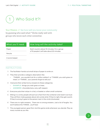# Vho Said It?!

Your Mission // See how well you know your community by guessing who-said-what! \*Works really well with groups who know each other somewhat.

### What you'll need:

### How long will the activity take?

Paper

Each round is about 10 minutes. For a group of 15 people it will take about 20 minutes.

Pencils

A score keeper

- 1) The facilitator hands out small strips of paper to write on.
- 2) They then provide a category description like:
	- › "*THINGS... you wouldn't do for a million dollars*", or "*THINGS...you wish grew on trees*", or "*THINGS... your parents forgot to tell you*"
- 3 ) Everyone then writes funny answers to these categories.
	- › EXAMPLE: things you wish grew on trees.
	- › ANSWERS: chocolate bars, cars, self-respect.
- 4 ) Everyone puts their strips in a hat, or basket or other small container.
- 5 ) Sitting in a circle, people will pull out a fact from the container and read it out loud. They will then make guesses about who wrote what. If they're right, they get a point. If they're wrong it goes to the person next in the circle (clockwise).
- 6 ) There are no right answers... There are no wrong answers. Just a lot of laughs. You won't believe the THINGS... you'll hear.
- 7 ) The youngest person goes first. And the game ends whenever you decide. Play as many rounds as you like.

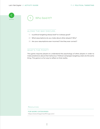

### $\rho_{\text{revious}}$  (1) Who Said It?!

### ALONG THE WAY DISCUSS…

- 1) Is political targeting always bad? Is it always good?
- 2) What assumptions do you make about other players? Why?
- 3 ) Are your assumptions ever incorrect? Are they ever correct?

### WHAT'S THE POINT?

This game requires players to understand the psychology of other players in order to make predictions about their behaviour. Political campaigns targeting voters do the same thing. This game is a fun way to reflect on that reality.

### Resources

### FOR MORE CATEGORIES:

https://www.thegameofthings.com/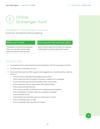

Your Mission // To find examples of municipal, provincial, and federal political targeting.

### What you'll need:

Computers or phones for searches. They can use their social media feeds and search there as well.

### How long will the activity take?

Each round is about 10 minutes. For a group of 15 people it will take about 20 minutes.

- 1 ) Form teams of 2 to 5 participants and provide them with the scavenger hunt list.
- 2) The first team to find them all wins.
- 3 ) Go around the teams to offer support and suggestions on anything they make be stuck on.
	- › Find an online campaign that targets young voters
	- › Find a news clip with a scandal in the title in relation to a candidate
	- › Find an ad that uses the word Canada and/or community
	- › Find a television show or web series with political satire
	- › Find a sponsored political ad
	- › Find a photo op with a politician and a celebrity posing together
	- › Find a fundraiser invitation letter for a political campaign
	- › Find a political meme
	- › Find political merchandise, such as a hat, book or t-shirt
	- › Find a campaign topic on jobs
	- › Find a campaign that uses fear as a tactic

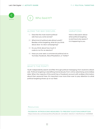

### 2 Who Said It?!

### ALONG THE WAY DISCUSS…

- 1) Describe the most recent political ads have you come across?
- 2) What kind of political ads attract youth? Besides online targeting, what do you think about door–to-door campaigning?
- 3 ) Do you think about how much it costs to run for an election?
- 4 ) Have you ever seen a commercial political ad on YouTube, Facebook, Xbox/Playstation, or Twitter?

### VARIATIONS

Have a discussion about what political targeting is and how to be aware if it is happening to you.

### WHAT'S THE POINT?

Youth independently search and filter through political messaging, from neutral to attack ads. Political targeting is benefiting tremendously from online advertising and endless data. When the majority of the world has a Facebook account with endless information about their personal lives, it's important now more than ever to pay attention to what political targeting shows up on our feed.

### Resources

FACEBOOK INTRODUCING MEASURES TO PREVENT ELECTION DISRUPTION

https://www.cbc.ca/news/politics/facebook-canadian-election-interference-1.5059626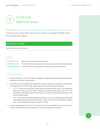

Your Mission // To save the townspeople from being eaten by werewolves… (unless you're a werewolf). This is very similar to the game "Mafia" if you have played that before.

### What you'll need:

Space to sit in a large circle.

### ROLES

- › MODERATOR Assign roles and narrate the game.
- › WEREWOLVES Try to kill all the townspeople without your identity being discovered.
- › TOWNSPEOPLE Try to save the townspeople by killing only the werewolves.

- 1 ) Everyone sits in a circle. The game is played in alternating rounds of night and day. Everyone puts their heads down.
- 2 ) In the first round of Night, the moderator secretly selects two people as werewolves by tapping them on the head. Otherwise the rounds proceed as follows:
	- › NIGHT: Everyone puts their heads down and closes their eyes. The moderator tells the werewolves to lift their heads and silently select someone to kill. The moderator then tells everyone that they can lift their heads and tells the room who has been killed.
	- › DAY: Everyone (including werewolves) has 1 minute to discuss and nominate suspected werewolves for elimination. After a minute, the moderator holds a vote and whoever the majority vote for is killed.
- 3 ) Once killed, players may not vote. Each round, the moderator announces who is killed until either all the townspeople or all the werewolves are killed.

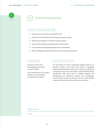

### 3 Political Werewolves

### ALONG THE WAY DISCUSS…

- 1) How do you know who you should trust?
- 2) Are their kinds of behaviours that give players away?
- 3 ) What would happen if we didn't trust anyone?
- 4 ) How do the werewolves decide who to eliminate?
- 5 ) How did the townspeople decide who to eliminate?
- 6 ) Which strategy would work best for eliminating werewolves?

### VARIATIONS

If there is a tie in the townspeople vote, then no one is killed.

The narrator does not reveal whether a townsperson or werewolf was killed.

### WHAT'S THE POINT?

It's one thing to read a politically biased article. It's another thing to not know who wrote it. Targeted political advertisements can try to sway your decisions in ways that you may not realize. Like the Werewolves, sometimes ads may have a hidden agenda for influencing our decisions without our knowledge. Knowing this means we should look for more diverse sources of information for stories we encounter.

#### Resources

N / A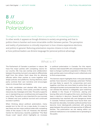# 8 // **Political** Polarization

Throughout the democratic world, there is a perception of increasing polarization. In other words, it appears as though divisions in society are growing, and that in politics there is harsher and more intractable conflict between parties. The perception and reality of polarization is critically important to how citizens experience elections, and politics in general. Reducing polarization requires citizens to look critically at how political leaders use divisive language for personal political advantage.

### What is it?

The Parliament of Canada is partisan in nature. We have five major parties with competing visions for our country. We may see overlap and collaboration between the parties, but each one seeks to differentiate itself from the others. Each does this by allowing officials within their parties to come together and shape policies and platforms. During elections, each party controls their own narrative and encourages voters to choose their own leaders.

For both candidates and elected MPs, their party shapes their identity. One's party provides training, resources, key messages and roles. The party supports you in representing your constituencies and supporting your riding. The party is very important for your success in Ottawa and your political survival and continued success in politics.

When thinking about political polarization, many people turn to the U.S. as a case study. It is easy to see; there are two major political sides with competing views of the issues in the U.S. However, the Samara Centre for Democracy recently published "The Real House Lives" report which highlights an increase in political polarization in Canada. For this report, Samara interviewed MPs who stressed that there has been a change in political cooperation in Ottawa. In the past, parties were more willing to work collectively and to find compromises.

The Samara report highlights that in the past decade, parties have become increasingly polarized. Parties are less likely to search for compromise and work together, and they are more likely to police their own ideological borders and postulate their own views. One can witness the decline in collegiality upon watching a debate in the House of Commons. Jeering and booing often echo throughout the room, and there has been a decline in decorum. Several MPs noted that partisanship has reached silly and dangerous levels in Canada. Political scientists have found that over the past two decades, Canadian political parties have become more ideologically polarized, with growing gaps between the policies and approaches of different parties. The polarization we are seeing within our political institutions is not isolated and is spreading to the public.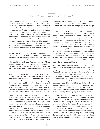### How Does It Impact Our Lives?

Social media and the Internet have been identified as possible drivers of polarization. We all have witnessed this. If you ever read the comment section on an article about Andrew Scheer, Justin Trudeau or Elizabeth May, you can see hate-filled vitriol and extreme polarization. The debate online is aggressive, dramatic and downright shocking at times. Moreover, the Internet and social media offer us opportunities to learn about and reinforce our political ideologies. Academics and the media sometimes refer to these as "filter bubbles" or "confirmation bias." Although it may be true that we follow like-minded people on social media, it has yet to be proven that this, in fact, increases political polarization.

A study by researchers at Duke University highlighted that showing highly partisan individuals different perspectives on political topics did very little to decrease polarization. In fact, in some cases, this reinforced these individuals' beliefs even more. These findings suggest that polarization may be occurring because of disagreement with a political party or politician, rather than because of the existence of filter bubbles.

Research on political polarization in the U.S. has also looked at this phenomenon through the lens of different age groups, thus attempting to determine which is the most polarized. Studies have found that as people age, they become more politically entrenched and polarized. Therefore, the most polarized age demographic (75+) was actually the group that used the Internet the least. This shows that further research needs to be done on how and if the Internet has a role in polarizing people.

What does seem plausible is that the narratives surrounding politics are changing. With the advancement of technology and the use of social media to broadcast political opinions, media is adapting. The debate on social media is transforming the discussion occurring among major media programs and outlets. Turn on any major news network, from the CBC to FOX, and you will see segments filled with pundits debating the latest headlines. Media outlets also create stories based on social media reactions to breaking news. These types of stories are used to reflect Canadians' sentiments towards different topics. However, are comments pulled from social media really reflective of how Canadians, or particular groups of Canadians, feel about a news story? It is dangerous to make huge assumptions like that based on such limited data.

Public opinion research demonstrates changing attitudes among everyday Canadians towards political parties. Many Canadians are noticing the stronger ideological differences between parties. "The Real House Lives" report suggests that Canadian voters for a given party have become increasingly like-minded and ideologically in-sync, with a growing divide between voters for parties on the "left" and those for parties on the "right". There is also evidence to suggest an increase in negative attitudes towards political parties other than those which a particular voter has supported. Data demonstrates a sharp decline in how Conservative party voters feel about Liberals politicians, and how Liberal voters and NDP voters feel about Conservatives politicians.

With the 2019 federal election fast approaching, we can begin to see polarization occurring online and everywhere else around us. A new survey conducted by Abacus Data provides interesting insights into where Canadians stand on the most polarizing policy and public opinion issues. The survey found that 26% of the population are deeply entrenched in their existing political views, while 74% are more open-minded. The polarized group (26%) is split between individuals who support parties on the so-called left (Liberals, NDP, Bloc, Green) and those who support parties on the right. As it stands, Andrew Scheer is viewed more favorably by those in the polarized group than Justin Trudeau.

The political sentiment and polarization stemming from Ottawa seem to be impacting Canadians' views of each other. This also seems to be changing the way Canadians are viewing the future. Nearly half (45%) of respondents to the Abacus Data poll stated that they were "fearful and frustrated" about their own future prospects. This fear and frustration regarding the future is much higher among the most polarized Canadians, at 63%. Such a finding shows that, among Canadians, hyperpartisanship creates a more toxic view of other Canadians as well as of our future as a nation.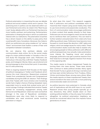### How Does It Impact Politics?

Political polarization is impacting the way we debate political and social matters online and in person. The polarizing tone in politics can be observed within our own Parliament and online. As noted in the "Real House Lives" study, debate within our Parliament has become more hostile, partisan and polarizing. Parliamentary polarization is shaping the ways in which our politicians interact with our institutions. The polarization of parties has a direct impact on the ability to pass policy that could benefit many Canadians. Moreover, the rhetoric which our politicians are using creates an "us" versus "them" environment that fosters a sense of fear and competition between Canadians.

We can observe this partisan debate and communication style online. Go to the social media page of a major political leader in Canada or the U.S. and study the language each uses. Politicians are meticulous in the way they craft their Tweets, Facebook posts, and Instagram Stories. Many use emotional and strong language to drive home their point. It resonates, but it is also polarizing.

There is ongoing research that focuses on the types of political messaging on Twitter and Facebook which receive the most interaction. Researchers analyzed Tweets from presidential, Senate and Congressional candidates during the 2016 U.S. election. Their findings were that Tweets with more emotive and moralizing words had a higher chance of being retweeted. Users responded more to words that evoked some sort of moral outrage. Findings indicated that emotive Tweets worked for increasing engagement among both Democrat and Republican voters but were somewhat stronger in the case of Republican candidates. Republicans were also more likely to respond to candidates who used emotional words involving patriotism or religion.

So what does this mean? This research suggests that if politicians and political candidates want to maximize their impact using social media, they need to use more emotive and passionate vocabulary. This form of communication style encourages politicians to share content that speaks directly to their base. Politicians are not encouraged to reach across the aisle but to reinforce their own positions. This can lead to further isolation and polarization from voters who have differing political views. Politicians have become more focused on moral issues like abortion, LGBT rights and religion, which are wedge issues for many voters. These communication styles could also help to explain why encouraging people to follow politicians with different political perspectives may actually make polarization more intense. By Tweeting moral and emotive language, politicians may get a positive reaction from their base but a strongly negative reaction from those on the opposing side.

The media reacts to these impassioned Tweets by turning them into news stories. These news stories then continue to stoke political divides. Many agree that Donald Trump is great at driving a narrative, but we have seen similar behaviour from Trudeau, Hillary Clinton and Andrew Sheer, among many others. When the media reports on these impassioned Tweets, their actions transform the news cycle into a more polarizing and emotionally-laden environment.

As politics become more polarized in Canada, what sort of implications will this shift have on our youth? Research shows that young people typically go in two directions; they either double down on their existing political beliefs, or they shy away from politics altogether. As political polarization heightens, we should be concerned about how this impacts future generations of voters.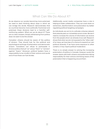### What Can We Do About It?

As we observe our society becoming more polarized, we need to start thinking about ways in which we can bridge the divide. Research demonstrates that as countries become more politically fractioned and polarized, these divisions lead to a harmful, selfreinforcing, pattern. What can we do about it? There are no clear answers. Simply withdrawing from politics does not seem to be the answer.

Canadian citizens should be aware of the politics of division. They should look for the political and psychological workings of polarization and democratic erosion. Canadians can refuse to participate in divisive politics that pit "us" versus "them" or "winners" against "losers." Moreover, political leaders have a responsibility to be mindful of their actions and words and of how these can fuel divides.

Additionally, social media companies have a role in helping to foster collaboration. They can crack down on extremism, disinformation and polarization by better regulating political targeting campaigns.

As individuals, we can try to cultivate a diverse network that extends past our immediate social circles. We don't need to increase the volume of information we receive from the people whom we already know well. Research shows that when we are not exposed to the "other side" of an issue, we have less of a chance to expand our own political diversity. If we have some exposure to other content, it may inspire political moderation.

There is no simple answer to solving the increasing polarization of politics in Canada. However, surely the answer starts with both citizens and politicians taking responsibility for their actions and being aware of the polarization that is happening around them.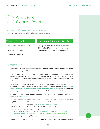# Wikipedia Control Room <sup>1</sup>

Your Mission // To use collective information gathering to convey a more accurate picture of a controversy.

### What you'll need:

A dry erase board/ chalk board

Dry erase markers/ chalk

Access to the Internet

### How long will the activity take?

For a group size of 15 this activity may take 20-30 mins. (Though you may choose to end it later or earlier based on engagement).

### INSTRUCTIONS

- 1 ) Everyone is given a whiteboard dry erase marker (ideally as few people have the same colour as possible).
- 2 ) The facilitator writes a controversial statement on the board. (i.e. "There is no evidence that GMOs are bad for human health" or "Russia attempted to hack the U.S. election", "There is no evidence of aliens", "There's no evidence of political bias in Facebook's algorithms.").

NOTE: At this point, it may be valuable to remind yourself, and your group that although many of you may personally disagree with these statements, **the purpose of this activity is to make the statement more accurate over time** by information gathering. It is *not* to have an initial statement that is necessarily 100% accurate.

3 ) Anyone in the group can propose changes to the sentence in whatever ways they want. FOR EXAMPLE:

The initial statement: "*There is no evidence that GMOs are bad for human health.*" might be modified to: "*There is no evidence that GMOs are worse for human health than non-modified foods*".

The person writing this might cite a study that supports this.

Another person might modify it to say:

"*There is no evidence that GMOs are worse for human health than nonmodified foods, although they do carry significant environmental risks*" after providing studies highlighting the risks of a lack of genetic diversity in crops.

4 ) Group members are encouraged to provide the rationale for their changes and to

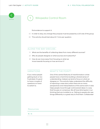

### Wikipedia Control Room

find evidence to support it.

- 5 ) In order to stay, any change they propose must be passed by a 2/3 vote of the group.
- 6 ) This activity should last about 6-7 mins per question.

### ALONG THE WAY DISCUSS…

- 1) What are the benefits of collecting ideas from many different sources?
- 2) Why do people disagree on what sources are trustworthy?
- 3 ) How do we move away from focusing on what we know towards focusing on how we know it?

### VARIATIONS

### WHAT'S THE POINT?

If you notice people getting stuck or too frustrated, it's good to have a couple of questions on hand to switch to.

One of the central features of misinformation is that people have a hard time building a shared sense of understanding. Instead, we tend to focus on what we disagree on. This activity helps understand the difficulty of reporting a news story when there are so many perspectives and interpretations of the same event. It also helps people move through controversial ideas in a way that focuses on consensus. We all have blind spots in our thinking that are invisible to us. Talking to people who see things differently is a great way to find them. Collaborate!

### Resources

N / A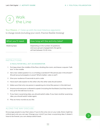

Your Mission // Come up with the most hilarious arguments to change minds (including your own!). Practice flexible thinking!

#### What you'll need:

How long will the activity take?

Masking tape.

Depending on the number of questions and your group's engagement, the game will last between 10-20 mins.

### INSTRUCTIONS

#### A FACILITATOR WILL ACT AS MODERATOR.

- 1) Put tape down the middle of the floor, dividing the room, and leave a square "talk box" in the middle.
- 2 ) Ask a two-sided question (i.e. is a hotdog a sandwich? Should we pee in the shower? Should we put pineapple on pizza? What's better: cake or pie?)
- 3 ) Give your audience 10 seconds to pick a side.
- 4 ) Have each side explain to the other why the other side should switch.
- 5 ) Make sure that only one person is speaking at a time (the person in the talk box).
- 6 ) Anyone and everyone is allowed to speak (including the facilitator), but they have to line up for the talk box to do so.
- 7 ) If you hear a surprising idea, you should switch sides. If you hear another surprising idea, you should switch sides again.
- 8) Play as many rounds as you like.

### ALONG THE WAY DISCUSS…

Encourage people to say their piece. If you're the only one on your side, there might be a blind spot only you can see. Change your mind if you hear a surprising idea. It doesn't have to be forever, you can always switch back.

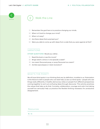

### 2 Walk the Line

- 1) Remember the goal here is to practice changing our minds.
- 2) When is it hard to change your mind?
- 3 ) When is it easy?
- 4 ) Are there ideas that surprised you?
- 5 ) Were you able to come up with ideas from a side that you were against at first?

### VARIATIONS

OTHER QUESTIONS: Would you rather…

- 1) Read the book or see the movie?
- 2) Binge watch a show or one episode a week?
- 3 ) Ice cream flavoured poop, or poop flavoured ice cream?
- 4 ) Zombie apocalypse or robot revolution?

### WHAT'S THE POINT?

We all have blind spots in our thinking that are, by definition, invisible to us. Polarization is the failure to talk to people who can best help us see our blind spots—people who see things really differently. A healthy democracy relies on people from different perspectives coming together to sort out confusing ideas through discourse. This activity practices the values that help us do that. Curiosity, collaboration, courage and calm (not taking yourself too seriously) help us practice the flexible thinking necessary for productive disagreement.

#### Resources

N / A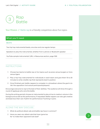

Your Mission // Battle rap in a friendly competition about fun topics.

### What you'll need:

#### BEATS

Two hip hop instrumental beats, one slow and one regular tempo

Speakers to play the instrumental, whether from a phone or Bluetooth speaker

YouTube sample instrumental: (URL in Resources section, page 106)

### INSTRUCTIONS

- 1) Choose two teams to battle rap on fun topics such as pizza versus burgers or lions versus tigers.
- 2 ) Play a hip-hop instrumental for individuals in each team and give them 15 to 20 minutes to write a battle rap that represents team's position.
- 3 ) Once finished, pair battle rappers to compete in a showdown where the goal is to 'dis' the opposition (not actual participants/players).

Encourage everyone to rap to the best of their abilities. The audience will show through a round of applause who wins the battle.

During the writing period,t choose an instrumental to play at low to medium volume in the background as well as the performance, if requested. Battle rappers can also get creative and beat-box their own rhythm for performance if working in pairs.

### ALONG THE WAY DISCUSS...

- 1) What do political attack ads and battle rap have in common?
- 2) Have you seen any attack ads that have 'gone too far' to make their opponent look bad?

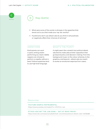

### 3 ) Rap Battle

- 3 ) What were some of the words or phrases in the speeches that stood out to you that made your rap 'dis' worthy?
- 4 ) If politicians don't use attack ads do you think it will positively or negatively affect their chances of winning?

#### VARIATIONS

Participants can work in pairs, writing and/or performing as a team. Battle rappers can choose to perform a capella, without a beat. Political speeches tend to use high level language.

### WHAT'S THE POINT?

It might seem like a stretch but political attack ads tend to make jabs at their opposition that go beyond policy and decision-making. From the background music, to the colour schemes, to the graphics, and beyond—attack ads are meant to evoke an emotional response from voters.

### Resources

### YOUTUBE SAMPLE INSTRUMENTAL

https://www.youtube.com/watch?v=-KPcFmn-oys

#### ATTACK ADS GET THE JOB DONE — BUT AT WHAT PRICE?

https://www.cbc.ca/news/canada/british-columbia/political-attack-ads-1.4036288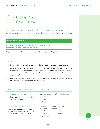

Your Mission // Using a polarizing topic such as immigration, create a biased survey that will sway respondents to agree or disagree with the topic.

### What you'll need:

REVIEW IN ADVANCE THE RESOURCE LINK AND LIST OF BIASED SURVEY EXAMPLES ABOVE.

Paper and writing utensils or a computer with word processing software.

- 1 ) Have participants get into teams of 2-5 and create 10 biased questions per team.
- 2 ) Have each team survey individuals and tally their score on a separate paper then allow each team to present the results of their survey as a brief report using statistics such as, "90% of respondents said climate change is not their number one priority."
- 3 ) Review each type of biased question and allow participants to take a try at giving an example as you go through the list for clarity.

| <b>Types of Biased Questions</b>                                                                                                        | Example                                                                                          |                       |
|-----------------------------------------------------------------------------------------------------------------------------------------|--------------------------------------------------------------------------------------------------|-----------------------|
| <b>1// THE LEADING QUESTION</b><br>ascribes a judgment and suggests<br>there is a right answer.                                         | Should pollution be allowed in Canada?:<br>a. Yes<br>b. Unsure<br>c. No                          |                       |
| 2 // THE LOADED QUESTION<br>makes an assumption about your<br>respondent that forces them to make<br>an answer they may not agree with. | What animals should be banned<br>from entering Canada?<br>a Snakes<br>b. Pit Bulls<br>c. Parrots | d. Ferrets<br>e Other |

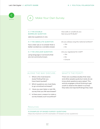

### 4 Make Your Own Survey

#### 3 // THE DOUBLE-BARRELED QUESTION

asks two questions in one.

#### 4 // THE ABSOLUTE QUESTION

has a clear yes or no answer that is better worded as a variable answer.

#### 5 // THE UNCLEAR QUESTION

using language or acronyms that are not commonly known.

*How safe or unsafe do you feel around Pit Bulls?*

*Do you always sing the national anthem?*

- *Yes*
- *No*

*Are you registered for CAIP?*

- *Yes*
- *No*
- *Unsure*

### ALONG THE WAY DISCUSS…

- 1) What is the most bizarre study finding that you have heard quoted?
- 2) Which questions are most likely to go unnoticed as biased?
- 3 ) Have you ever taken a real-life survey that you felt was biased?
- 4 ) Is there ever a reason to make a survey biased, such as political?

### WHAT'S THE POINT?

There are countless studies that news and other people quote but rarely do we know what questions were asked. This activity engages critical thinking to get youth to observe the detail in surveys they take and reports/findings they read.

#### Resources

#### 10 EXAMPLES OF BIASED SURVEY QUESTIONS

https://surveytown.com/10-examples-of-biased-survey-questions/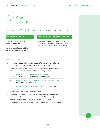# War 5) war<br>5) & Peace

Your Mission // To gain the most resources for your country over time.

### What you'll need:

A whiteboard with all the leaders' names on it.

Small pieces of paper with a "W" on one side or a "P" on the other.

### How long will the activity take?

Each round takes about 2 minutes. This game can be as long or short as you like, but it will generally last about 20 minutes.

- 1) In this game, each player is the leader of a country. (i.e. 11 players means 11 countries). The game is played in 10 rounds.
- 2) In every round, players pair off and simulate a conflict between their countries. Players can choose either to make peace or go to war.
	- › IF COUNTRY A AND B BOTH CHOOSE WAR, then they maintain their borders (0 points each).
	- › IF COUNTRY A GOES TO WAR, BUT B TRIES TO MAKE PEACE, (+2 points for A, -2 points for B).
	- › IF BOTH COUNTRIES CHOOSE PEACE both get (+1 points).
- 3 ) They have 30 seconds to discuss strategy.
- 4 ) Counting down from 5, all the players then make their decisions simultaneously (players can choose not to fulfill promises). Everyone's scores are updated on a dry-erase board each round.
- 5 ) The leader or leaders with the most points at the end of the game wins.

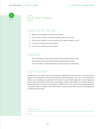

## 5 ) War & Peace

#### ALONG THE WAY DISCUSS…

- 1) What are the patterns of play you notice?
- 2) Do you play another round with players who chose war?
- 3 ) How do you decide if you should trust the other leaders or not?
- 4 ) Is it easy to build trust with others?
- 5 ) How do you build trust with others?

## VARIATIONS

- › Don't tell players how many rounds will be played before hand.
- › Tell players how many rounds will be played before hand.
- › Track the War vs. Peace decisions of each player on the board.

## WHAT'S THE POINT?

Polarization can make trust and cooperation difficult for democracies. The point of this game is to understand some of the reasons that polarization can occur. The degree to which we are willing to cooperate with others in good faith depends on the degree to which we trust that they share the same goals, values and beliefs as us. When we don't believe that this is the case, cooperation is difficult, even if it would be mutually beneficial. This game helps us explore the relationship of trust to polarization and our willingness to cooperate across time.

## Resources

N / A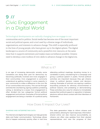# 9 // Civic Engagement in a Digital World

Technological developments are radically changing how we engage in our

communities and in politics. Social media has become one of the most important social and political spaces, and a tool used by a diverse range of individuals, organizations, and interests to advance change. This shift is especially profound in the lives of young people, who have grown up in the digital sphere. The digital landscape is a source of community and a powerful civic resource, at the same time that it supports extremism and makes mass surveillance possible. Citizens need to develop a new toolbox of civic skills to advance change in the digital era.

## What is it?

In an age of increasing democratic anxiety, some Canadians are doing their part for democracy by becoming politically involved and more engaged in their communities. Civic engagement is commonly understood as getting involved in some capacity in your community to make a difference in the civic life of our communities and country. This can be through activities like volunteering, signing a petition, protesting, voting, or donating to a cause. Civic engagement is often divided into two categories: formal political engagement and activism. Examples of formal political engagement are being a member of a political party,

attending political meetings, donating money to a candidate or party, volunteering for a campaign and giving a political speech in public. Formal political activities are important because they get citizens closer to political decision makers and decisionmaking. Examples of activism are signing a petition, boycotting products for ethnical, environmental or political reasons, and protesting or demonstrating. These activities are a way for citizens to immediately express their political support or opposition in between elections, without direct contact with their Members of Parliament.

## How Does It Impact Our Lives?

#### SHARING AND INTERPRETING DATA

The Internet and digital technologies can help generate data and foster communication. Technology allows this to happen extremely quickly, often in real time. This data generation helps to inform citizens and policymakers, allowing for rapid responses. Information shared online can also improve accountability, as citizens can often view updates from their elected representatives and view the progress of their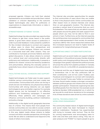proposed agenda. Citizens can hold their elected representative accountable and provide them instant validation or criticism depending on the outcome. Digital technologies also allow for politicians or organizations to disseminate information or data in accessible ways.

#### STRENGTHENING CITIZENS' VOICES

Digital technology has also provided new opportunities for citizens to get their voices heard in the public sphere. It gives them direct access to politicians in order to provide feedback. It also presents a platform for like-minded individuals to connect and organize. It allows users to share their perspectives and contribute to online dialogue. Citizens can connect on a horizontal level with other citizens. They can contribute to municipal, provincial, federal, and even global discussions. It also allows citizens to connect at a vertical level and communicate directly with politicians and institutions. Additionally, it presents a platform for citizens' voices to be heard by academics and policymakers, allowing the everyday person to potentially have a direct impact on the politics around them.

#### FACILITATING SOCIAL COHESION AND SUPPORT

Digital technologies can foster peer-to-peer support, mobilize various communities, and even create new communities. Communities built online can be big or small and are not limited by any physical boundaries. Communities with strong networks can use digital technologies to grow and better organize. For example, digital spaces can be harnessed to run effective petitions and fundraising campaigns. If executed effectively, these petitions and campaigns can influence community-building, political mobilization, and policy change.

Additionally, in the digital world, geography becomes less of a factor. This means that more people from remote communities are now able to access content and information to which they never had access before. In this way, digital media allows citizens to better connect and share valuable perspectives, shrinking the world. We are able to understand and respond to the needs of others more easily.

The Internet also provides opportunities for people to find communities of users whom they are unable to find in the physical world. Online communities are often based more on shared interests and values than on just geographic location. The Internet also provides a certain level of anonymity that you can't find elsewhere. This means that you are able to connect with people around the globe and seek support from people whom you may not be able to find in your school or town. Furthermore, as the Internet expands, the world becomes more exposed to communities that may be underrepresented in their society. An example would be LGBTQ+ folk. Some researchers believe that this increased exposure can lead to higher levels of acceptance for marginalized groups of people.

#### SUPPORTING DIRECT CITIZEN PARTICIPATION

Digital tools such as social media can support citizens' participation in the political process, thereby shaping public policy and changing political discourse. Online campaigns have greatly impacted the political process all across the world, from pipeline protests in Canada, to Brexit in the U.K., to the 2016 U.S. presidential election.

The Internet and the use of digital tools have played a tremendous role in the way politicians talk to their constituents. Look at how Justin Trudeau uses Facebook and Instagram to connect with Canadians, or at how Donald Trump uses Twitter to connect with his base. Social media creates a stronger connection between political groups and citizens and can inspire greater participation. Grassroots organizing has also benefited greatly from the Internet. One example would be Bernie Sanders' 2016 presidential run, in which he set records for small donor donations to his campaign. A lot of these donations were driven by online outreach.

#### DIGITAL TECHNOLOGIES FOR MOBILIZING ENGAGEMENT

The community-based nature of digital technologies and social media has been harnessed to impact political mobilization. Facebook has experimented with trying to increase voter turnout. They do this by running experiments and encouraging users to both vote and then post about voting. They rely on peer pressure and "FOMO" to inspire people to go to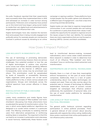the polls. Facebook reported that their experiments were successful when they implemented them in 2012 and witnessed an increase in voter turnout among participants. Politicians and companies have picked up on this trend and have begun using social media to create their own digital tools and advertisements to target people and influence their vote.

Digital technologies have also lowered the barriers that some people face in being civically engaged and politically active. For example, people can now become involved in political causes by donating to an online campaign or signing a petition. These platforms have invited people into the public sphere and allowed for a different type of engagement—one that is less time consuming and less demanding.

Digital media can also help to organize marginalized communities. It can connect people who are looking for a politician or party that shares their values. It also creates the opportunity for people to organize around the issues unique to their own identity. For example, there are many organizations that are now focused on electing LGBTQ+, women, and black candidates.

## How Does It Impact Politics?

#### LESS INCLUSIVITY IN DEMOCRATIC LIFE

The use of technology in promoting democratic engagement is promising. However, there are serious challenges. One potential problem is how the use of digital technologies in politics may prioritize some voices over others. Broadly speaking, different demographics use the Internet in different ways. Consequently, some voices may be prioritized over others. This prioritization could be perpetuated by levels of inequality or accessibility. Moreover, highly organized online groups can co-opt social media platforms to like, or share various people and organizations. Groups and individuals across the political spectrum have proven effective in these efforts.

## RADICALIZATION OF PUBLIC DISCOURSE AND POLITICAL OPINION

Lately, many academics and media figures have focused on the concepts of "filter bubbles" and "echo chambers", discussing how these phenomena have accelerated the spread of misinformation online. The way in which some digital platforms' algorithms are designed is to curate online content in a particular order. This filtering contributes to isolating Internet users from alternative perspectives or reinforcing existing ideas or prejudices. The argument is that this can lead to an increase in polarization and a decrease in social harmony. Additionally, these factors could lead to misinformed decision-making, increased radicalization, and in some cases violent extremism. More research is needed in order to determine how much of an influence "filter bubbles" and "echo chambers" have on reinforcing violent extremism and misinformation.

#### INAPPROPRIATE USE OF DIGITAL TECHNOLOGIES

Globally, there is a lack of laws that meaningfully enforce transparency on the part of social media companies. Additionally, there is a lack of public understanding about how digital technologies are created and used. There are also worries about the potential uses or misuses of technology by different stakeholders. Particular areas of concern include targeted ad campaigns that influence political preferences, the exploitation of personal data, and the use of social media platforms for spreading misinformation.

## LOW LEVELS OF TRUST IN DIGITAL POLITICAL PROCESSES

The general public harbours cynicism regarding participation in online political processes. There is general distrust of and concern about security, especially with aspects like online voting. Additionally, there exists a sentiment that online participation will not influence policy outcomes.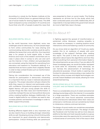According to a study by the Reuters Institute at the University of Oxford, there is a general distrust of the use of social media for sharing digital news. The 2018 report analyzed a survey conducted in 37 countries and found that only 23% of people trusted the news that was presented to them on social media. This finding represents an all-time low for the study, which has been conducted yearly since 2012. Additionally, 63% of respondents in Europe believe the government should do more to fight fake news in Europe.

## What Can We Do About It?

#### BUILDING DIGITAL SKILLS

As the world becomes more digitized, some new challenges arise for democracy. As more people begin to form online communities for news sharing and communicating, democratic societies would do well to address the issues that come with this. One important step is for people to build digital skills. In North America and much of the western world there are no rules in place when it comes to who can and can't use the Internet. In fact, children and grandparents are connected, using the Internet for everything from education and research to "Facebook stalking". It is essential that we have a public that is digitally literate in order to help combat threats such as misinformation and hate speech.

Taking into consideration the increased use of the Internet for participation in democratic citizenship, it is important that we invest in tailored educational programs. The proper education will give citizens the skills they require to interact and participate online with confidence. Educational programs surrounding digital literacy will give young people the skills to counter things like fake news and misinformation. It could also reshape the way we have political discourse online, creating healthier dialogue. Additionally, if we invest in digital skills for our children we need to also increase parents' and teachers' knowledge in order to better support the process.

#### BUILDING SKILLS FOR CITIZENSHIP

Building effective digital skills is very important, but we also need to focus on building stronger citizenship skills as well. Developing strong critical thinking skills are important for good citizenship and democratic participation. Critical thinking skills are paramount in fighting against the spread of misinformation or extremism online. Moreover, creating empathy is also viewed as necessary in creating positive social interactions online and fostering a sense of community.

Do you know what an algorithm is? Could you easily explain this to an audience of people with prior knowledge of the subject? Perhaps after reading this report. The point is that we need to prioritize education about topics like algorithms and how they affect everything from personal information feeds to the advertisements we see online. If we are able to fill these knowledge gaps, we would be better equipped to build skills for citizenship online. Moreover, we can harness the advancement of technology for educational purposes. Virtual reality is opening new frontiers for education and providing a new medium for learning; online courses and digital technologies can provide instant feedback and results, allowing for more streamlined learning.

### DEVELOPING SKILLS TO COUNTER VIOLENT AND EXTREMIST IDEOLOGIES

There is a considerable amount of violent and extremist ideology buried deep within the Internet. It is accessible to a large population. There are countless examples of people who have found extremist communities online and become radicalized. Either their views are enhanced or reinforced, and can sometimes be linked to intolerance, violence, and even terrorism.

The design of social media can sometimes exacerbate the problem of online extremism. The design of sites like Facebook and YouTube (as well as more obscure platforms like Gab and Voat) rewards loyalty to a group and provides users the opportunity for connection and a shared sense of community. Part of the issue is that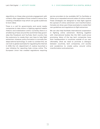algorithms on these sites promote engagement with content, often regardless of that content's nature, thus creating a feedback loop which can guide audiences to toxic ideas.

There is a call for governments and social media companies to take action in fighting against hateful rhetoric and mobilization online. Currently, there is a smattering of laws around the world that help govern sites like Facebook and YouTube. Each country has the autonomy to create their own laws to help fight extremism. However, policy formation is normally two steps behind technology. In order to combat this, we can look to global examples for regulating the Internet. In 2018, the U.S. department of Justice launched a new initiative for reporting hate crimes online. The European Union has created regulations requiring

service providers to be available 24/7 to facilitate or follow up on requested removal orders of online content. These strategies are designed to help fight against the spread of online extremism and misinformation. Canada can draw upon these examples to create their own guidelines and regulations to fight extremism.

We can also help facilitate international cooperation in fighting online extremism. Working together with international bodies like the G20 could prove promising. Many of the top tech companies have their headquarters in countries outside of our own. Ultimately, what we need to promote is dialogue between countries, tech companies, civil society and academics to create policy around online misinformation and extremism.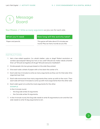# Message 1) <sup>Messc</sup><br>D Board

Your Mission // Write as many arguments as you can for each side.

## What you'll need:

Paper and pencils.

## How long will the activity take?

This game will take about 10 minutes per round. Play as many rounds as you like.

### INSTRUCTIONS

- 1) Ask a two-sided question. (i.e. what's better: cats or dogs? Robot revolution or zombie apocalypse? Being too hot or too cold? Should we make robots smarter than us? Should we legalize all drugs? Should everyone meditate?)
- 2) Divide people into two groups based on the side they picked.
- 3) Give each side a sheet of paper with a line down the center of it.
- 4 ) Each side has 2 minutes to write as many arguments as they can for that side. (One argument per line).
- 5 ) Each side announces how many arguments they came up with to the room. Then each side will have 4 minutes to come up with more arguments than the other side.
- 6 ) Each side's goal is to write the most arguments for the other.

#### EXAMPLE

In the 2 minute round;

- the Dog side writes 12 arguments
- the Cat side writes 14 arguments.
- 7 ) In the 4 minute round, the Dog side needs to write 15 arguments to win and the Cat side needs to write 13 dog arguments to win.

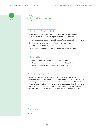

## Message Board

## ALONG THE WAY DISCUSS…

Remind them that the goal is not just to come up with arguments. The goal is to practice seeing things from another perspective.

- 1) Did it get easier to come up with ideas after the second round? The third?
- 2) Was it easier to come up with ideas when you cared more, or less about the question?
- 3 ) Did playing change how you feel about any of the questions?

### VARIATIONS

- › You can ask more serious or more silly questions
- › If your group seems into it, ask more political questions
- › If they are getting too tense, ask sillier questions.

## WHAT'S THE POINT?

Thanks to social media message boards, it has never been easier to understand perspectives that you don't have. Although it's not always easy, we can begin to think more deeply about the world and its problems. One of the challenges we face is how to overcome polarization in order to make decisions together. Although it hasn't been used this way, social media can help us to make bridges instead of dig trenches to make real progress.

## Resources

N / A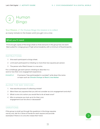

Your Mission // For Human Bingo the mission is to collect as many initials in the boxes until you get 5 in a row.

## What you'll need:

Print enough copies of the bingo sheet so that everyone in the group has one each. Best suited for a large group of high school students, with a minimum of 8 participants.

## INSTRUCTIONS

- 1) Give each participant a bingo sheet.
- 2 ) Limit each participant to initialing no more than two squares per person.
- 3 ) The person who filled 5 boxes in a row wins.

For a challenge, get each person initialing to describe in a word or two their civic engagement experience.

EXAMPLE If someone "Has participated in a protest" write down the name or topic such as **Climate Change** or **Black Lives Matter**.

## ALONG THE WAY DISCUSS…

- 1) How was the process of collecting initials?
- 2) Were there any squares that you did not consider as civic engagement and why?
- 3 ) What is one civic action you would like to do at least once?
- 4 ) Who is someone you look up to for their civic engagement (can be alive or deceased)?

## VARIATIONS

If the group is small, go through the questions in the bingo squares one by one. Ask for a show of hands for each square and provide examples if there is no one who raises their hand.

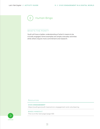

## WHAT'S THE POINT?

Youth will have a better understanding of what it means to be civically engaged. Some examples are simple, everyday activities while others require more commitment and research.

#### Resources

## CIVIC ENGAGEMENT

https://youth.gov/youth-topics/civic-engagement-and-volunteering

## BINGO HANDOUT

This is on the next page (page 120)

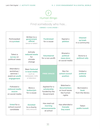

## Find somebody who has…

## ( BINGO = 5 IN A ROW )

| Participated<br>in a <b>protest</b>                                  | Written to a<br>government<br>official<br>(email or letter)                            | <b>Fundraised</b><br>for a cause                            | Signed a<br>petition                                                | <b>Cleaned</b><br>up trash<br>in a community |
|----------------------------------------------------------------------|----------------------------------------------------------------------------------------|-------------------------------------------------------------|---------------------------------------------------------------------|----------------------------------------------|
| Taken a<br>survey on<br>political views                              | Actively<br>reduced waste<br>for<br>climate<br>change                                  | <b>Volunteered</b><br>for a non-profit                      | Shared a<br>political<br>news story<br>on social media              | Gone to a<br>political rally                 |
| Attended a<br>workshop /<br>seminar/<br>event on youth<br>engagement | <b>Been featured</b><br>in local media<br>such as<br>newspaper, radio<br>or television | <b>FREE SPACE</b>                                           | Ran for<br>school council<br>position                               | Visited a<br>political<br>website            |
| Followed a<br>national media<br>source<br>on social media            | Wore a<br>button/pin<br>for a cause                                                    | Applied for a<br>scholarship<br>funded by the<br>Government | Watched a<br>documentary<br>on local issues<br>like human<br>rights | Borrowed a<br>book<br>from the library       |
| <b>Voted</b> for a<br>school council<br>candidate                    | <b>Donated</b><br>to a charity<br>(any amount)                                         | Has read out<br>morning<br>announcements<br>at school       | Has attended a<br><b>Canada</b><br>Day event                        | Taken<br>public transit                      |